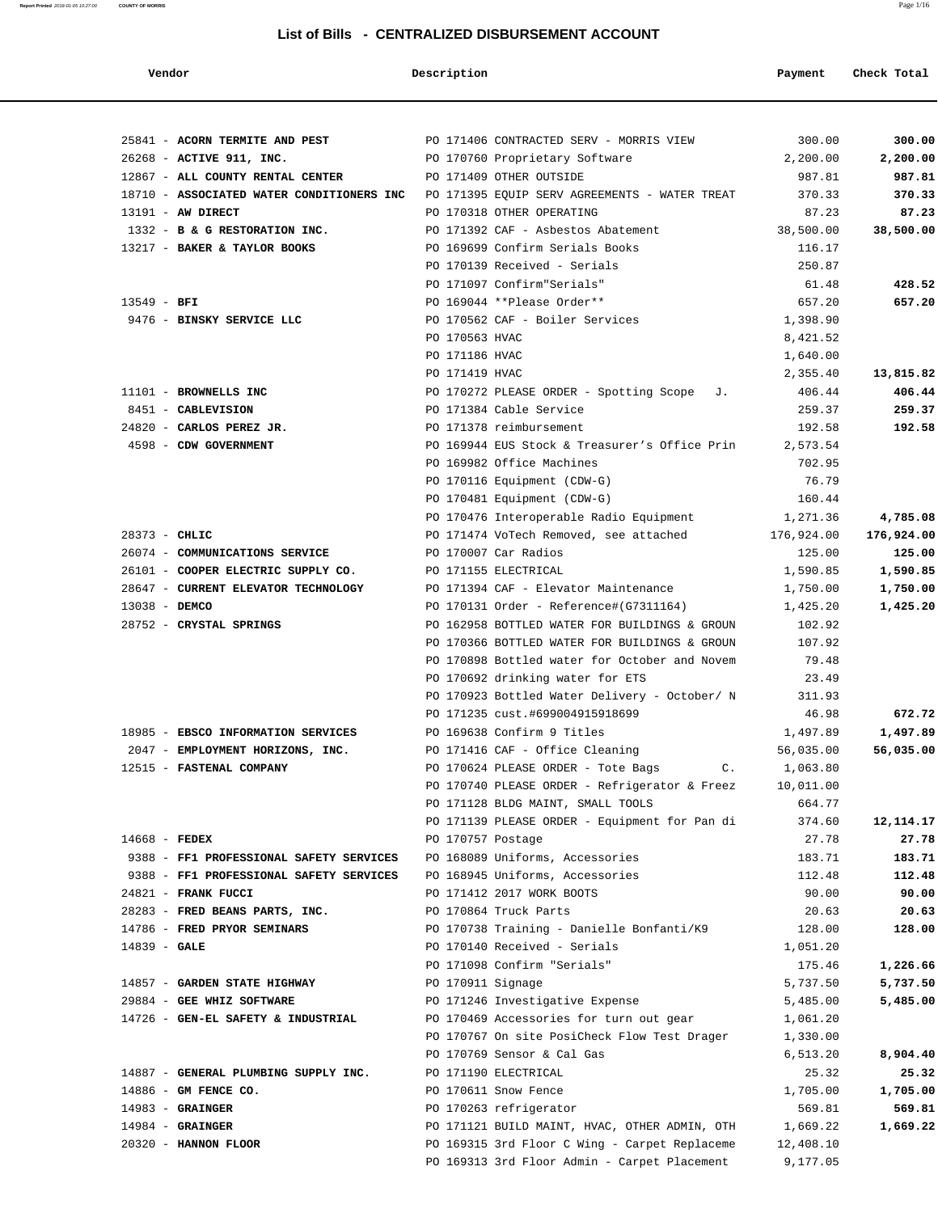### **List of Bills - CENTRALIZED DISBURSEMENT ACCOUNT**

| Vendor                                     | Description       |                                                                                               | Payment               | Check Total      |
|--------------------------------------------|-------------------|-----------------------------------------------------------------------------------------------|-----------------------|------------------|
|                                            |                   |                                                                                               |                       |                  |
| 25841 - ACORN TERMITE AND PEST             |                   | PO 171406 CONTRACTED SERV - MORRIS VIEW                                                       | 300.00                | 300.00           |
| 26268 - ACTIVE 911, INC.                   |                   | PO 170760 Proprietary Software                                                                | 2,200.00              | 2,200.00         |
| 12867 - ALL COUNTY RENTAL CENTER           |                   | PO 171409 OTHER OUTSIDE                                                                       | 987.81                | 987.81           |
| 18710 - ASSOCIATED WATER CONDITIONERS INC  |                   | PO 171395 EQUIP SERV AGREEMENTS - WATER TREAT                                                 | 370.33                | 370.33           |
| 13191 - AW DIRECT                          |                   | PO 170318 OTHER OPERATING                                                                     | 87.23                 | 87.23            |
| 1332 - B & G RESTORATION INC.              |                   | PO 171392 CAF - Asbestos Abatement<br>PO 169699 Confirm Serials Books                         | 38,500.00             | 38,500.00        |
| 13217 - BAKER & TAYLOR BOOKS               |                   | PO 170139 Received - Serials                                                                  | 116.17<br>250.87      |                  |
|                                            |                   | PO 171097 Confirm"Serials"                                                                    | 61.48                 |                  |
| $13549 - BFI$                              |                   | PO 169044 **Please Order**                                                                    | 657.20                | 428.52<br>657.20 |
| 9476 - BINSKY SERVICE LLC                  |                   | PO 170562 CAF - Boiler Services                                                               | 1,398.90              |                  |
|                                            | PO 170563 HVAC    |                                                                                               | 8,421.52              |                  |
|                                            | PO 171186 HVAC    |                                                                                               | 1,640.00              |                  |
|                                            | PO 171419 HVAC    |                                                                                               | 2,355.40              | 13,815.82        |
| 11101 - BROWNELLS INC                      |                   | PO 170272 PLEASE ORDER - Spotting Scope J.                                                    | 406.44                | 406.44           |
| 8451 - CABLEVISION                         |                   | PO 171384 Cable Service                                                                       | 259.37                | 259.37           |
| 24820 - CARLOS PEREZ JR.                   |                   | PO 171378 reimbursement                                                                       | 192.58                | 192.58           |
| 4598 - CDW GOVERNMENT                      |                   | PO 169944 EUS Stock & Treasurer's Office Prin                                                 | 2,573.54              |                  |
|                                            |                   | PO 169982 Office Machines                                                                     | 702.95                |                  |
|                                            |                   | PO 170116 Equipment (CDW-G)                                                                   | 76.79                 |                  |
|                                            |                   | PO 170481 Equipment (CDW-G)                                                                   | 160.44                |                  |
|                                            |                   | PO 170476 Interoperable Radio Equipment                                                       | 1,271.36              | 4,785.08         |
| $28373 - CHLIC$                            |                   | PO 171474 VoTech Removed, see attached                                                        | 176,924.00            | 176,924.00       |
| 26074 - COMMUNICATIONS SERVICE             |                   | PO 170007 Car Radios                                                                          | 125.00                | 125.00           |
| 26101 - COOPER ELECTRIC SUPPLY CO.         |                   | PO 171155 ELECTRICAL                                                                          | 1,590.85              | 1,590.85         |
| 28647 - CURRENT ELEVATOR TECHNOLOGY        |                   | PO 171394 CAF - Elevator Maintenance                                                          | 1,750.00              | 1,750.00         |
| 13038 - DEMCO                              |                   | PO 170131 Order - Reference#(G7311164)                                                        | 1,425.20              | 1,425.20         |
| 28752 - CRYSTAL SPRINGS                    |                   | PO 162958 BOTTLED WATER FOR BUILDINGS & GROUN                                                 | 102.92                |                  |
|                                            |                   | PO 170366 BOTTLED WATER FOR BUILDINGS & GROUN                                                 | 107.92                |                  |
|                                            |                   | PO 170898 Bottled water for October and Novem                                                 | 79.48                 |                  |
|                                            |                   | PO 170692 drinking water for ETS                                                              | 23.49                 |                  |
|                                            |                   | PO 170923 Bottled Water Delivery - October/ N                                                 | 311.93                |                  |
|                                            |                   | PO 171235 cust.#699004915918699                                                               | 46.98                 | 672.72           |
| 18985 - EBSCO INFORMATION SERVICES         |                   | PO 169638 Confirm 9 Titles                                                                    | 1,497.89              | 1,497.89         |
| 2047 - EMPLOYMENT HORIZONS, INC.           |                   | PO 171416 CAF - Office Cleaning                                                               | 56,035.00             | 56,035.00        |
| 12515 - FASTENAL COMPANY                   |                   | PO 170624 PLEASE ORDER - Tote Bags C.                                                         | 1,063.80              |                  |
|                                            |                   | PO 170740 PLEASE ORDER - Refrigerator & Freez                                                 | 10,011.00             |                  |
|                                            |                   | PO 171128 BLDG MAINT, SMALL TOOLS                                                             | 664.77                |                  |
|                                            |                   | PO 171139 PLEASE ORDER - Equipment for Pan di                                                 | 374.60                | 12,114.17        |
| $14668$ - FEDEX                            | PO 170757 Postage |                                                                                               | 27.78                 | 27.78            |
| 9388 - FF1 PROFESSIONAL SAFETY SERVICES    |                   | PO 168089 Uniforms, Accessories                                                               | 183.71                | 183.71           |
| 9388 - FF1 PROFESSIONAL SAFETY SERVICES    |                   | PO 168945 Uniforms, Accessories                                                               | 112.48                | 112.48           |
| 24821 - FRANK FUCCI                        |                   | PO 171412 2017 WORK BOOTS                                                                     | 90.00                 | 90.00            |
| 28283 - FRED BEANS PARTS, INC.             |                   | PO 170864 Truck Parts                                                                         | 20.63                 | 20.63            |
| 14786 - FRED PRYOR SEMINARS                |                   | PO 170738 Training - Danielle Bonfanti/K9                                                     | 128.00                | 128.00           |
| $14839 - GALE$                             |                   | PO 170140 Received - Serials                                                                  | 1,051.20              |                  |
|                                            |                   | PO 171098 Confirm "Serials"                                                                   | 175.46                | 1,226.66         |
| 14857 - GARDEN STATE HIGHWAY               | PO 170911 Signage |                                                                                               | 5,737.50              | 5,737.50         |
| 29884 - GEE WHIZ SOFTWARE                  |                   | PO 171246 Investigative Expense                                                               | 5,485.00              | 5,485.00         |
| 14726 - GEN-EL SAFETY & INDUSTRIAL         |                   | PO 170469 Accessories for turn out gear                                                       | 1,061.20              |                  |
|                                            |                   | PO 170767 On site PosiCheck Flow Test Drager                                                  | 1,330.00              |                  |
|                                            |                   | PO 170769 Sensor & Cal Gas                                                                    | 6,513.20              | 8,904.40         |
| 14887 - GENERAL PLUMBING SUPPLY INC.       |                   | PO 171190 ELECTRICAL                                                                          | 25.32                 | 25.32            |
| 14886 - GM FENCE CO.                       |                   | PO 170611 Snow Fence                                                                          | 1,705.00              | 1,705.00         |
| $14983 -$ GRAINGER                         |                   | PO 170263 refrigerator                                                                        | 569.81                | 569.81           |
| $14984 -$ GRAINGER<br>20320 - HANNON FLOOR |                   | PO 171121 BUILD MAINT, HVAC, OTHER ADMIN, OTH                                                 | 1,669.22              | 1,669.22         |
|                                            |                   | PO 169315 3rd Floor C Wing - Carpet Replaceme<br>PO 169313 3rd Floor Admin - Carpet Placement | 12,408.10<br>9,177.05 |                  |
|                                            |                   |                                                                                               |                       |                  |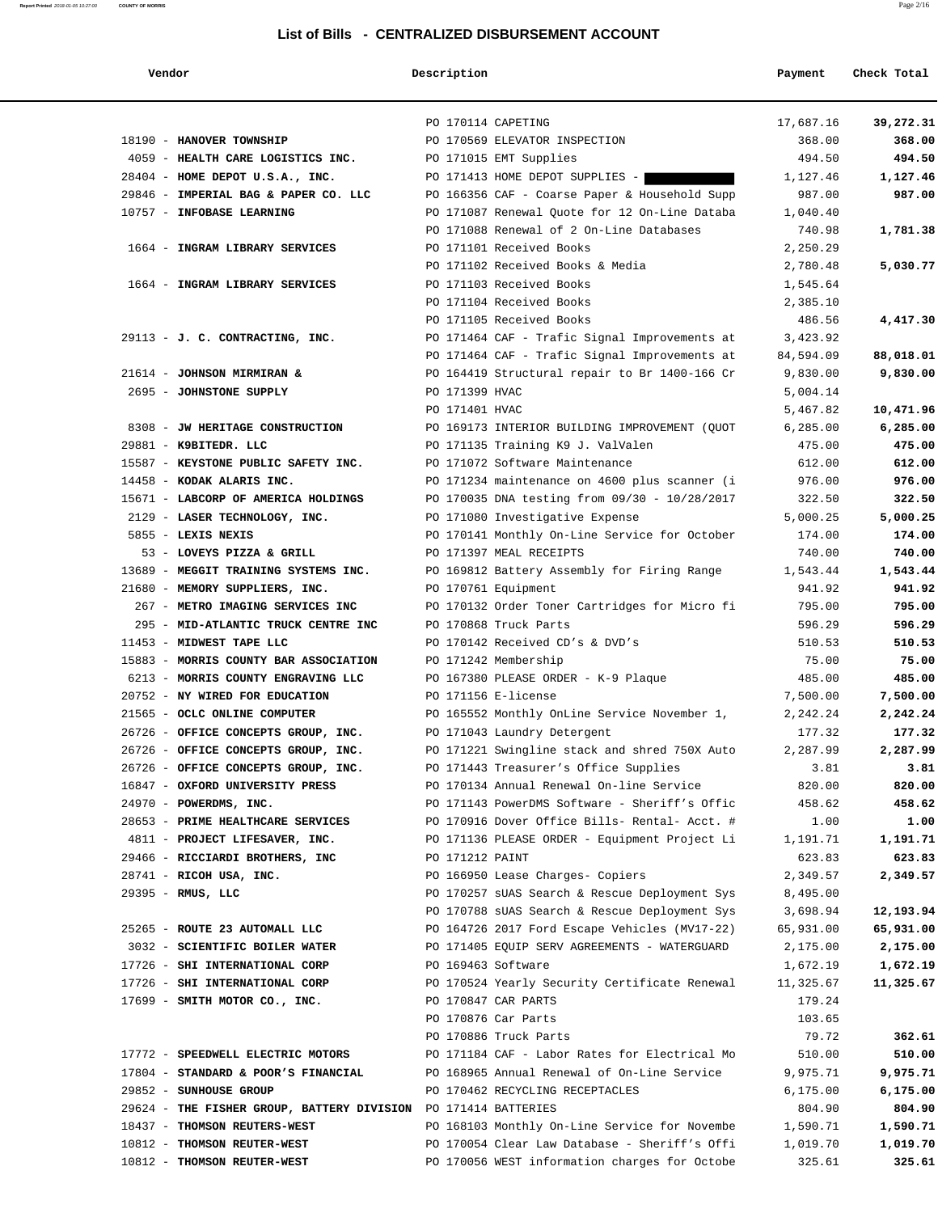## **List of Bills - CENTRALIZED DISBURSEMENT ACCOUNT**

## **Vendor Description Payment Check Total**

**Report Printed** 2018-01-05 10:27:00 **COUNTY OF MORRIS** Page 2/16

|                                                                | PO 170114 CAPETING                                                 | 17,687.16 | 39,272.31 |
|----------------------------------------------------------------|--------------------------------------------------------------------|-----------|-----------|
| 18190 - HANOVER TOWNSHIP                                       | PO 170569 ELEVATOR INSPECTION                                      | 368.00    | 368.00    |
| 4059 - HEALTH CARE LOGISTICS INC.                              | PO 171015 EMT Supplies                                             | 494.50    | 494.50    |
| 28404 - HOME DEPOT U.S.A., INC.                                | PO 171413 HOME DEPOT SUPPLIES -                                    | 1,127.46  | 1,127.46  |
| 29846 - IMPERIAL BAG & PAPER CO. LLC                           | PO 166356 CAF - Coarse Paper & Household Supp                      | 987.00    | 987.00    |
| 10757 - INFOBASE LEARNING                                      | PO 171087 Renewal Quote for 12 On-Line Databa                      | 1,040.40  |           |
|                                                                | PO 171088 Renewal of 2 On-Line Databases                           | 740.98    | 1,781.38  |
| 1664 - INGRAM LIBRARY SERVICES                                 | PO 171101 Received Books                                           | 2,250.29  |           |
|                                                                | PO 171102 Received Books & Media                                   | 2,780.48  | 5,030.77  |
| 1664 - INGRAM LIBRARY SERVICES                                 | PO 171103 Received Books                                           | 1,545.64  |           |
|                                                                | PO 171104 Received Books                                           | 2,385.10  |           |
|                                                                | PO 171105 Received Books                                           | 486.56    | 4,417.30  |
| 29113 - J. C. CONTRACTING, INC.                                | PO 171464 CAF - Trafic Signal Improvements at                      | 3,423.92  |           |
|                                                                | PO 171464 CAF - Trafic Signal Improvements at                      | 84,594.09 | 88,018.01 |
| 21614 - JOHNSON MIRMIRAN &                                     | PO 164419 Structural repair to Br 1400-166 Cr                      | 9,830.00  | 9,830.00  |
| 2695 - JOHNSTONE SUPPLY                                        | PO 171399 HVAC                                                     | 5,004.14  |           |
|                                                                | PO 171401 HVAC                                                     | 5,467.82  | 10,471.96 |
| 8308 - JW HERITAGE CONSTRUCTION                                | PO 169173 INTERIOR BUILDING IMPROVEMENT (QUOT                      | 6,285.00  | 6,285.00  |
| 29881 - K9BITEDR. LLC                                          | PO 171135 Training K9 J. ValValen                                  | 475.00    | 475.00    |
| 15587 - KEYSTONE PUBLIC SAFETY INC.                            | PO 171072 Software Maintenance                                     | 612.00    | 612.00    |
| 14458 - KODAK ALARIS INC.                                      | PO 171234 maintenance on 4600 plus scanner (i                      | 976.00    | 976.00    |
| 15671 - LABCORP OF AMERICA HOLDINGS                            | PO 170035 DNA testing from 09/30 - 10/28/2017                      | 322.50    | 322.50    |
| 2129 - LASER TECHNOLOGY, INC.                                  | PO 171080 Investigative Expense                                    | 5,000.25  | 5,000.25  |
| 5855 - LEXIS NEXIS                                             | PO 170141 Monthly On-Line Service for October                      | 174.00    | 174.00    |
| 53 - LOVEYS PIZZA & GRILL                                      | PO 171397 MEAL RECEIPTS                                            | 740.00    | 740.00    |
| 13689 - MEGGIT TRAINING SYSTEMS INC.                           | PO 169812 Battery Assembly for Firing Range                        | 1,543.44  | 1,543.44  |
| 21680 - MEMORY SUPPLIERS, INC.                                 | PO 170761 Equipment                                                | 941.92    | 941.92    |
| 267 - METRO IMAGING SERVICES INC                               | PO 170132 Order Toner Cartridges for Micro fi                      | 795.00    | 795.00    |
| 295 - MID-ATLANTIC TRUCK CENTRE INC                            | PO 170868 Truck Parts                                              | 596.29    | 596.29    |
| 11453 - MIDWEST TAPE LLC                                       | PO 170142 Received CD's & DVD's                                    | 510.53    | 510.53    |
| 15883 - MORRIS COUNTY BAR ASSOCIATION                          | PO 171242 Membership                                               | 75.00     | 75.00     |
| 6213 - MORRIS COUNTY ENGRAVING LLC                             | PO 167380 PLEASE ORDER - K-9 Plaque                                | 485.00    | 485.00    |
| 20752 - NY WIRED FOR EDUCATION                                 | PO 171156 E-license                                                | 7,500.00  | 7,500.00  |
| 21565 - OCLC ONLINE COMPUTER                                   | PO 165552 Monthly OnLine Service November 1,                       | 2,242.24  | 2,242.24  |
| 26726 - OFFICE CONCEPTS GROUP, INC.                            | PO 171043 Laundry Detergent                                        | 177.32    | 177.32    |
| 26726 - OFFICE CONCEPTS GROUP, INC.                            | PO 171221 Swingline stack and shred 750X Auto                      | 2,287.99  | 2,287.99  |
| 26726 - OFFICE CONCEPTS GROUP, INC.                            | PO 171443 Treasurer's Office Supplies                              | 3.81      | 3.81      |
| 16847 - OXFORD UNIVERSITY PRESS                                | PO 170134 Annual Renewal On-line Service                           | 820.00    | 820.00    |
| 24970 - POWERDMS, INC.                                         | PO 171143 PowerDMS Software - Sheriff's Offic                      | 458.62    | 458.62    |
| 28653 - PRIME HEALTHCARE SERVICES                              | PO 170916 Dover Office Bills- Rental- Acct. #                      | 1.00      | 1.00      |
| 4811 - PROJECT LIFESAVER, INC.                                 | PO 171136 PLEASE ORDER - Equipment Project Li                      | 1,191.71  | 1,191.71  |
| 29466 - RICCIARDI BROTHERS, INC                                | PO 171212 PAINT                                                    | 623.83    | 623.83    |
| 28741 - RICOH USA, INC.                                        | PO 166950 Lease Charges- Copiers                                   | 2,349.57  | 2,349.57  |
| 29395 - RMUS, LLC                                              | PO 170257 sUAS Search & Rescue Deployment Sys                      | 8,495.00  |           |
|                                                                | PO 170788 sUAS Search & Rescue Deployment Sys                      | 3,698.94  | 12,193.94 |
| 25265 - ROUTE 23 AUTOMALL LLC                                  |                                                                    |           |           |
|                                                                | PO 164726 2017 Ford Escape Vehicles (MV17-22)                      | 65,931.00 | 65,931.00 |
| 3032 - SCIENTIFIC BOILER WATER                                 | PO 171405 EQUIP SERV AGREEMENTS - WATERGUARD<br>PO 169463 Software | 2,175.00  | 2,175.00  |
| 17726 - SHI INTERNATIONAL CORP                                 |                                                                    | 1,672.19  | 1,672.19  |
| 17726 - SHI INTERNATIONAL CORP                                 | PO 170524 Yearly Security Certificate Renewal                      | 11,325.67 | 11,325.67 |
| 17699 - SMITH MOTOR CO., INC.                                  | PO 170847 CAR PARTS                                                | 179.24    |           |
|                                                                | PO 170876 Car Parts                                                | 103.65    |           |
|                                                                | PO 170886 Truck Parts                                              | 79.72     | 362.61    |
| 17772 - SPEEDWELL ELECTRIC MOTORS                              | PO 171184 CAF - Labor Rates for Electrical Mo                      | 510.00    | 510.00    |
| 17804 - STANDARD & POOR'S FINANCIAL                            | PO 168965 Annual Renewal of On-Line Service                        | 9,975.71  | 9,975.71  |
| 29852 - SUNHOUSE GROUP                                         | PO 170462 RECYCLING RECEPTACLES                                    | 6,175.00  | 6,175.00  |
| 29624 - THE FISHER GROUP, BATTERY DIVISION PO 171414 BATTERIES |                                                                    | 804.90    | 804.90    |
| 18437 - THOMSON REUTERS-WEST                                   | PO 168103 Monthly On-Line Service for Novembe                      | 1,590.71  | 1,590.71  |
| 10812 - THOMSON REUTER-WEST                                    | PO 170054 Clear Law Database - Sheriff's Offi                      | 1,019.70  | 1,019.70  |
| 10812 - THOMSON REUTER-WEST                                    | PO 170056 WEST information charges for Octobe                      | 325.61    | 325.61    |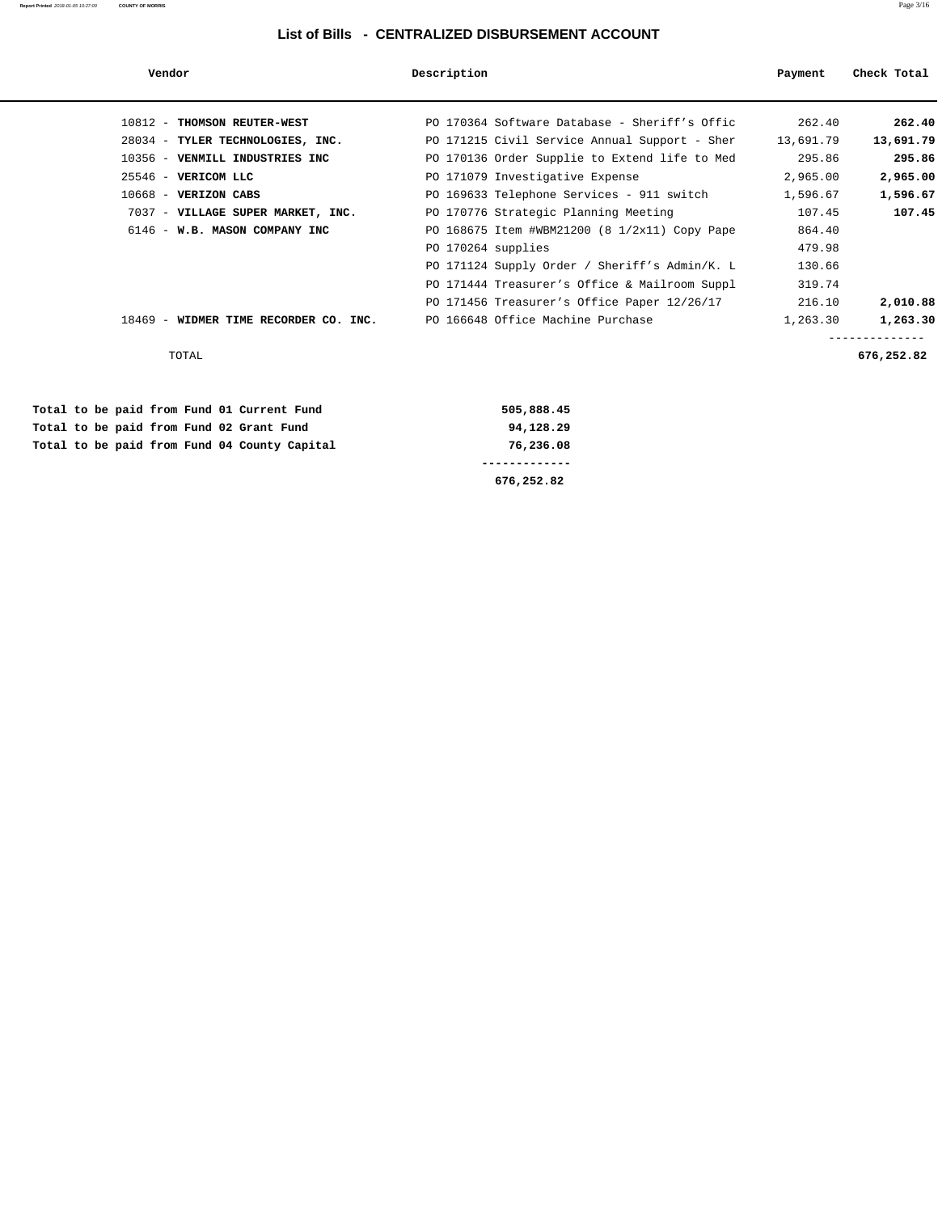### **List of Bills - CENTRALIZED DISBURSEMENT ACCOUNT**

| Vendor                                       | Description                                      | Payment   | Check Total |
|----------------------------------------------|--------------------------------------------------|-----------|-------------|
| 10812 - THOMSON REUTER-WEST                  | PO 170364 Software Database - Sheriff's Offic    | 262.40    | 262.40      |
| 28034 - TYLER TECHNOLOGIES, INC.             | PO 171215 Civil Service Annual Support - Sher    |           |             |
|                                              |                                                  | 13,691.79 | 13,691.79   |
| 10356 - VENMILL INDUSTRIES INC               | PO 170136 Order Supplie to Extend life to Med    | 295.86    | 295.86      |
| 25546 - VERICOM LLC                          | PO 171079 Investigative Expense                  | 2,965.00  | 2,965.00    |
| $10668$ - VERIZON CABS                       | PO 169633 Telephone Services - 911 switch        | 1,596.67  | 1,596.67    |
| 7037 - VILLAGE SUPER MARKET, INC.            | PO 170776 Strategic Planning Meeting             | 107.45    | 107.45      |
| 6146 - W.B. MASON COMPANY INC                | PO 168675 Item #WBM21200 (8 $1/2x11$ ) Copy Pape | 864.40    |             |
|                                              | PO 170264 supplies                               | 479.98    |             |
|                                              | PO 171124 Supply Order / Sheriff's Admin/K. L    | 130.66    |             |
|                                              | PO 171444 Treasurer's Office & Mailroom Suppl    | 319.74    |             |
|                                              | PO 171456 Treasurer's Office Paper 12/26/17      | 216.10    | 2,010.88    |
| 18469 - WIDMER TIME RECORDER CO. INC.        | PO 166648 Office Machine Purchase                | 1,263.30  | 1,263.30    |
| <b>TOTAL</b>                                 |                                                  |           | 676,252.82  |
| Total to be paid from Fund 01 Current Fund   | 505,888.45                                       |           |             |
| Total to be paid from Fund 02 Grant Fund     | 94,128.29                                        |           |             |
| Total to be paid from Fund 04 County Capital | 76,236.08                                        |           |             |

 **------------- 676,252.82**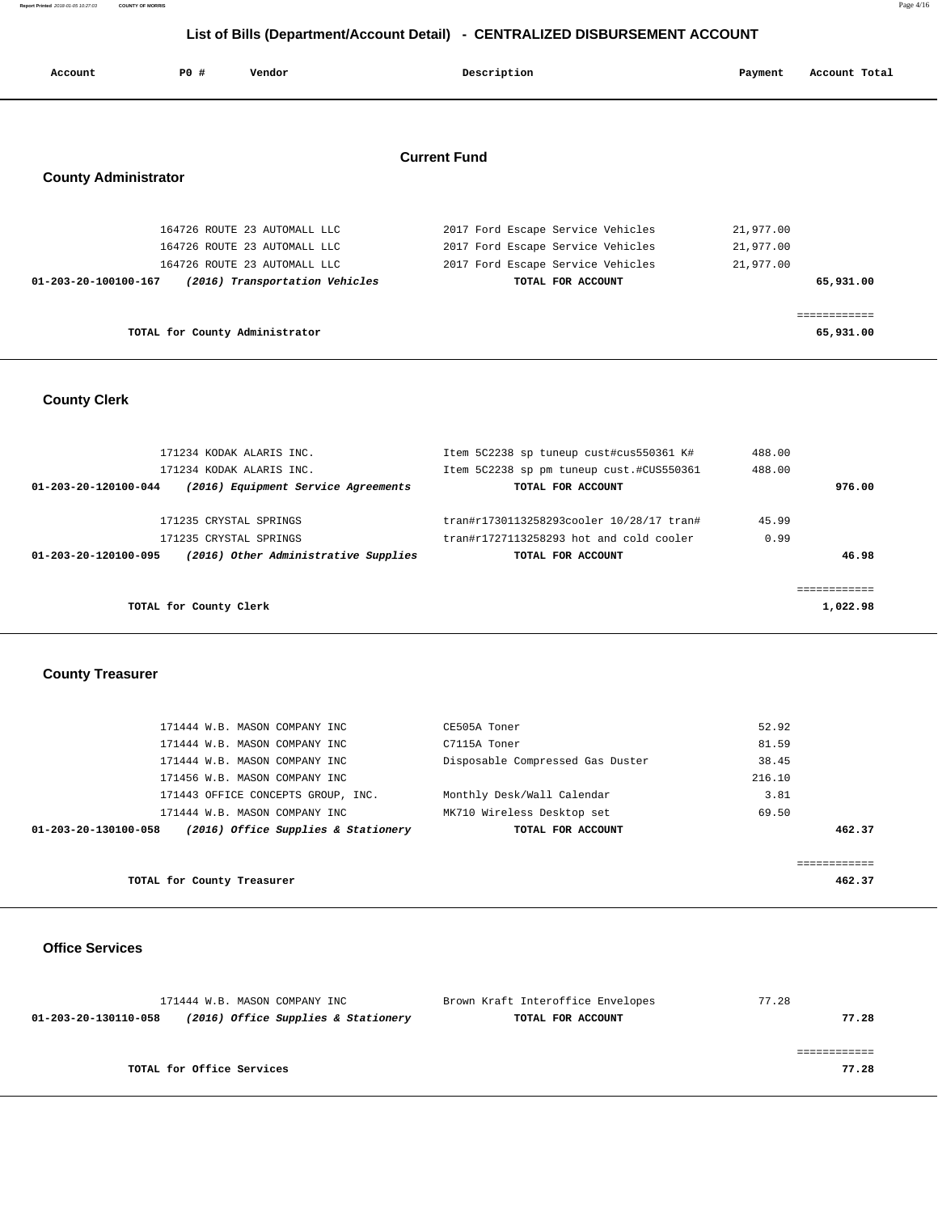| Account                     | <b>PO #</b> | Vendor                         | Description         |                                   | Payment   | Account Total |
|-----------------------------|-------------|--------------------------------|---------------------|-----------------------------------|-----------|---------------|
|                             |             |                                |                     |                                   |           |               |
|                             |             |                                | <b>Current Fund</b> |                                   |           |               |
| <b>County Administrator</b> |             |                                |                     |                                   |           |               |
|                             |             | 164726 ROUTE 23 AUTOMALL LLC   |                     | 2017 Ford Escape Service Vehicles | 21,977.00 |               |
|                             |             | 164726 ROUTE 23 AUTOMALL LLC   |                     | 2017 Ford Escape Service Vehicles | 21,977.00 |               |
|                             |             | 164726 ROUTE 23 AUTOMALL LLC   |                     | 2017 Ford Escape Service Vehicles | 21,977.00 |               |
| 01-203-20-100100-167        |             | (2016) Transportation Vehicles |                     | TOTAL FOR ACCOUNT                 |           | 65,931.00     |
|                             |             |                                |                     |                                   |           |               |
|                             |             |                                |                     |                                   |           | ===========   |

**TOTAL for County Administrator 65,931.00** 

**County Clerk** 

| 171234 KODAK ALARIS INC.                                     | Item 5C2238 sp tuneup cust#cus550361 K#  | 488.00   |
|--------------------------------------------------------------|------------------------------------------|----------|
| 171234 KODAK ALARIS INC.                                     | Item 5C2238 sp pm tuneup cust.#CUS550361 | 488.00   |
| (2016) Equipment Service Agreements<br>01-203-20-120100-044  | TOTAL FOR ACCOUNT                        | 976.00   |
|                                                              |                                          |          |
| 171235 CRYSTAL SPRINGS                                       | tran#r1730113258293cooler 10/28/17 tran# | 45.99    |
| 171235 CRYSTAL SPRINGS                                       | tran#r1727113258293 hot and cold cooler  | 0.99     |
| (2016) Other Administrative Supplies<br>01-203-20-120100-095 | TOTAL FOR ACCOUNT                        | 46.98    |
|                                                              |                                          |          |
|                                                              |                                          |          |
| TOTAL for County Clerk                                       |                                          | 1,022.98 |
|                                                              |                                          |          |

**County Treasurer** 

| 171444 W.B. MASON COMPANY INC                               | CE505A Toner                     | 52.92  |
|-------------------------------------------------------------|----------------------------------|--------|
| 171444 W.B. MASON COMPANY INC                               | C7115A Toner                     | 81.59  |
| 171444 W.B. MASON COMPANY INC                               | Disposable Compressed Gas Duster | 38.45  |
| 171456 W.B. MASON COMPANY INC                               |                                  | 216.10 |
| 171443 OFFICE CONCEPTS GROUP, INC.                          | Monthly Desk/Wall Calendar       | 3.81   |
| 171444 W.B. MASON COMPANY INC                               | MK710 Wireless Desktop set       | 69.50  |
| (2016) Office Supplies & Stationery<br>01-203-20-130100-058 | TOTAL FOR ACCOUNT                | 462.37 |
|                                                             |                                  |        |
|                                                             |                                  |        |

**TOTAL for County Treasurer 462.37** 

**Office Services** 

| 171444 W.B. MASON COMPANY INC |                                     | Brown Kraft Interoffice Envelopes | 77.28 |
|-------------------------------|-------------------------------------|-----------------------------------|-------|
| 01-203-20-130110-058          | (2016) Office Supplies & Stationery | TOTAL FOR ACCOUNT                 | 77.28 |
|                               |                                     |                                   |       |
|                               |                                     |                                   |       |
| TOTAL for Office Services     |                                     |                                   | 77.28 |
|                               |                                     |                                   |       |

**Report Printed** 2018-01-05 10:27:03 **COUNTY OF MORRIS** Page 4/16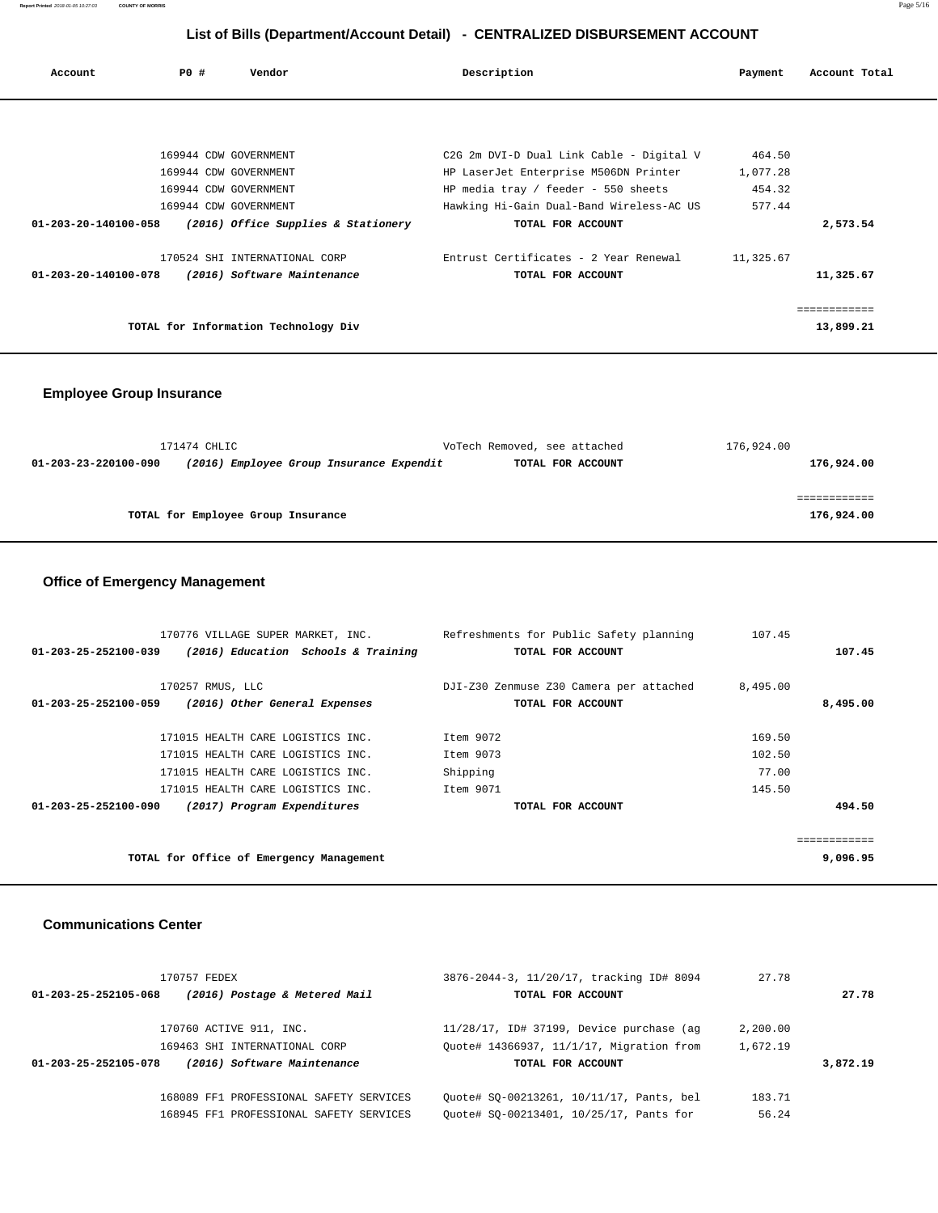| Account              | PO# | Vendor                                                       | Description                                                                  | Payment                      | Account Total |
|----------------------|-----|--------------------------------------------------------------|------------------------------------------------------------------------------|------------------------------|---------------|
|                      |     |                                                              |                                                                              |                              |               |
|                      |     | 169944 CDW GOVERNMENT                                        | C2G 2m DVI-D Dual Link Cable - Digital V                                     | 464.50                       |               |
|                      |     | 169944 CDW GOVERNMENT<br>169944 CDW GOVERNMENT               | HP LaserJet Enterprise M506DN Printer<br>HP media tray / feeder - 550 sheets | 1,077.28<br>454.32<br>577.44 |               |
| 01-203-20-140100-058 |     | 169944 CDW GOVERNMENT<br>(2016) Office Supplies & Stationery | Hawking Hi-Gain Dual-Band Wireless-AC US<br>TOTAL FOR ACCOUNT                |                              | 2,573.54      |
| 01-203-20-140100-078 |     | 170524 SHI INTERNATIONAL CORP<br>(2016) Software Maintenance | Entrust Certificates - 2 Year Renewal<br>TOTAL FOR ACCOUNT                   | 11,325.67                    | 11,325.67     |
|                      |     |                                                              |                                                                              |                              | ============  |
|                      |     | TOTAL for Information Technology Div                         |                                                                              |                              | 13,899.21     |

# **Employee Group Insurance**

|                      | 171474 CHLIC                             | VoTech Removed, see attached | 176,924.00 |
|----------------------|------------------------------------------|------------------------------|------------|
| 01-203-23-220100-090 | (2016) Employee Group Insurance Expendit | TOTAL FOR ACCOUNT            | 176,924.00 |
|                      |                                          |                              |            |
|                      |                                          |                              |            |
|                      | TOTAL for Employee Group Insurance       |                              | 176,924.00 |
|                      |                                          |                              |            |

## **Office of Emergency Management**

| 170776 VILLAGE SUPER MARKET, INC.                           | Refreshments for Public Safety planning | 107.45   |                       |
|-------------------------------------------------------------|-----------------------------------------|----------|-----------------------|
| (2016) Education Schools & Training<br>01-203-25-252100-039 | TOTAL FOR ACCOUNT                       |          | 107.45                |
|                                                             |                                         |          |                       |
| 170257 RMUS, LLC                                            | DJI-Z30 Zenmuse Z30 Camera per attached | 8,495.00 |                       |
| (2016) Other General Expenses<br>01-203-25-252100-059       | TOTAL FOR ACCOUNT                       |          | 8,495.00              |
|                                                             |                                         |          |                       |
| 171015 HEALTH CARE LOGISTICS INC.                           | Item 9072                               | 169.50   |                       |
| 171015 HEALTH CARE LOGISTICS INC.                           | Item 9073                               | 102.50   |                       |
| 171015 HEALTH CARE LOGISTICS INC.                           | Shipping                                | 77.00    |                       |
| 171015 HEALTH CARE LOGISTICS INC.                           | Item 9071                               | 145.50   |                       |
| 01-203-25-252100-090<br>(2017) Program Expenditures         | TOTAL FOR ACCOUNT                       |          | 494.50                |
|                                                             |                                         |          |                       |
|                                                             |                                         |          | . = = = = = = = = = = |
| TOTAL for Office of Emergency Management                    |                                         |          | 9,096.95              |
|                                                             |                                         |          |                       |

#### **Communications Center**

| 170757 FEDEX                                          | 3876-2044-3, 11/20/17, tracking ID# 8094    | 27.78    |          |  |
|-------------------------------------------------------|---------------------------------------------|----------|----------|--|
| (2016) Postage & Metered Mail<br>01-203-25-252105-068 | TOTAL FOR ACCOUNT                           |          | 27.78    |  |
| 170760 ACTIVE 911, INC.                               | $11/28/17$ , ID# 37199, Device purchase (aq | 2,200.00 |          |  |
| 169463 SHI INTERNATIONAL CORP                         | Ouote# 14366937, 11/1/17, Migration from    | 1,672.19 |          |  |
| (2016) Software Maintenance<br>01-203-25-252105-078   | TOTAL FOR ACCOUNT                           |          | 3,872.19 |  |
| 168089 FF1 PROFESSIONAL SAFETY SERVICES               | Ouote# SO-00213261, 10/11/17, Pants, bel    | 183.71   |          |  |
| 168945 FF1 PROFESSIONAL SAFETY SERVICES               | Ouote# SO-00213401, 10/25/17, Pants for     | 56.24    |          |  |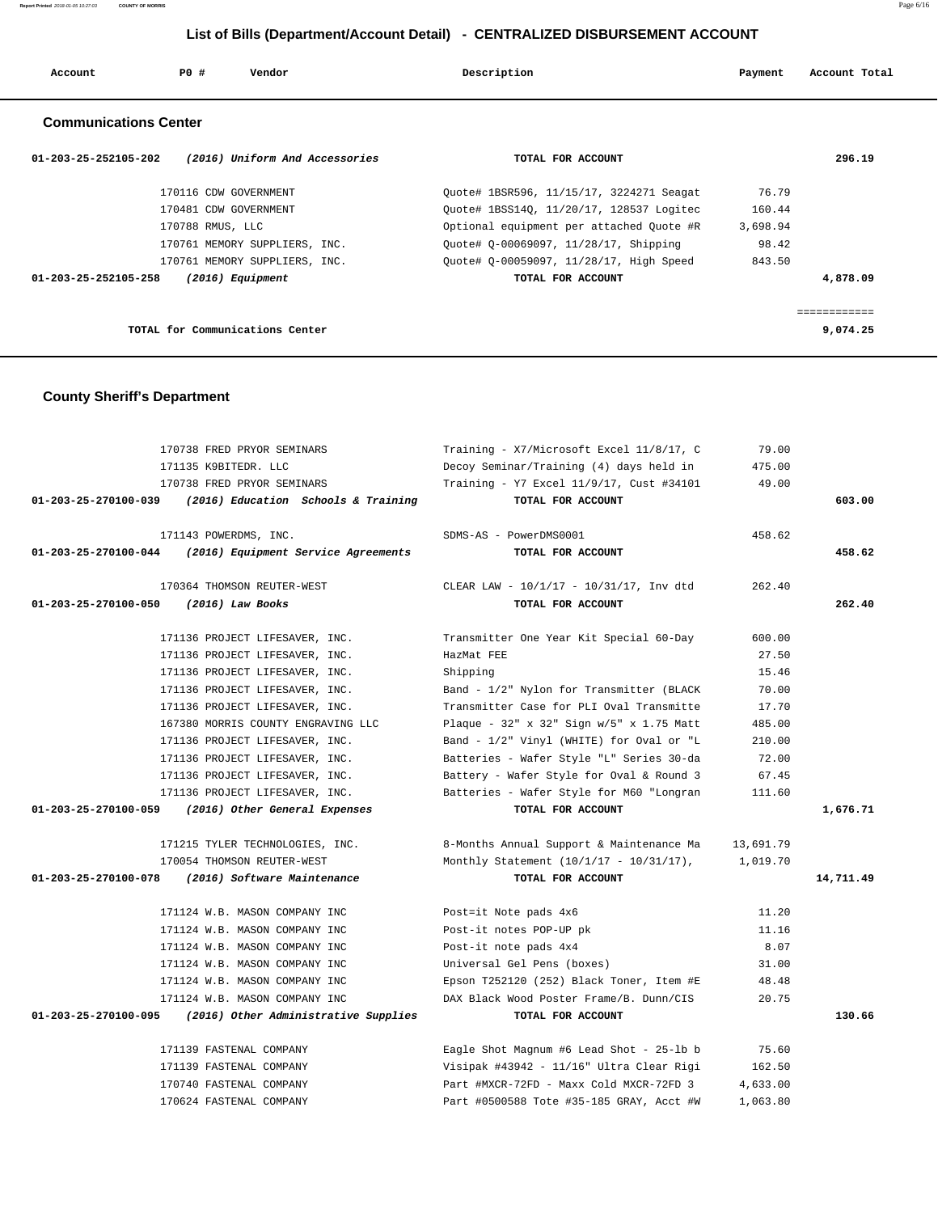**Report Printed** 2018-01-05 10:27:03 **COUNTY OF MORRIS** Page 6/16

## **List of Bills (Department/Account Detail) - CENTRALIZED DISBURSEMENT ACCOUNT**

| Account | <b>PO #</b> | Vendor | Description | Payment | Account Total |
|---------|-------------|--------|-------------|---------|---------------|
|         |             |        |             |         |               |

## **Communications Center**

| (2016) Uniform And Accessories<br>$01 - 203 - 25 - 252105 - 202$ | TOTAL FOR ACCOUNT                        |          | 296.19       |
|------------------------------------------------------------------|------------------------------------------|----------|--------------|
| 170116 CDW GOVERNMENT                                            | Ouote# 1BSR596, 11/15/17, 3224271 Seagat | 76.79    |              |
| 170481 CDW GOVERNMENT                                            | Ouote# 1BSS140, 11/20/17, 128537 Logitec | 160.44   |              |
| 170788 RMUS, LLC                                                 | Optional equipment per attached Quote #R | 3,698.94 |              |
| 170761 MEMORY SUPPLIERS, INC.                                    | Ouote# 0-00069097, 11/28/17, Shipping    | 98.42    |              |
| 170761 MEMORY SUPPLIERS, INC.                                    | Ouote# 0-00059097, 11/28/17, High Speed  | 843.50   |              |
| 01-203-25-252105-258<br>$(2016)$ Equipment                       | TOTAL FOR ACCOUNT                        |          | 4,878.09     |
|                                                                  |                                          |          |              |
| TOTAL for Communications Center                                  |                                          |          | <br>9,074.25 |

## **County Sheriff's Department**

| 170738 FRED PRYOR SEMINARS                                | Training - X7/Microsoft Excel 11/8/17, C         | 79.00     |           |
|-----------------------------------------------------------|--------------------------------------------------|-----------|-----------|
| 171135 K9BITEDR. LLC                                      | Decoy Seminar/Training (4) days held in          | 475.00    |           |
| 170738 FRED PRYOR SEMINARS                                | Training - Y7 Excel 11/9/17, Cust #34101         | 49.00     |           |
| 01-203-25-270100-039 (2016) Education Schools & Training  | TOTAL FOR ACCOUNT                                |           | 603.00    |
|                                                           |                                                  |           |           |
| 171143 POWERDMS, INC.                                     | SDMS-AS - PowerDMS0001                           | 458.62    |           |
| 01-203-25-270100-044 (2016) Equipment Service Agreements  | TOTAL FOR ACCOUNT                                |           | 458.62    |
|                                                           |                                                  |           |           |
| 170364 THOMSON REUTER-WEST                                | CLEAR LAW - 10/1/17 - 10/31/17, Inv dtd          | 262.40    |           |
| 01-203-25-270100-050 (2016) Law Books                     | TOTAL FOR ACCOUNT                                |           | 262.40    |
| 171136 PROJECT LIFESAVER, INC.                            | Transmitter One Year Kit Special 60-Day          | 600.00    |           |
| 171136 PROJECT LIFESAVER, INC.                            | HazMat FEE                                       | 27.50     |           |
| 171136 PROJECT LIFESAVER, INC.                            | Shipping                                         | 15.46     |           |
| 171136 PROJECT LIFESAVER, INC.                            | Band - 1/2" Nylon for Transmitter (BLACK         | 70.00     |           |
| 171136 PROJECT LIFESAVER, INC.                            | Transmitter Case for PLI Oval Transmitte         | 17.70     |           |
| 167380 MORRIS COUNTY ENGRAVING LLC                        | Plaque - $32''$ x $32''$ Sign w/5" x 1.75 Matt   | 485.00    |           |
| 171136 PROJECT LIFESAVER, INC.                            | Band - 1/2" Vinyl (WHITE) for Oval or "L         | 210.00    |           |
| 171136 PROJECT LIFESAVER, INC.                            | Batteries - Wafer Style "L" Series 30-da         | 72.00     |           |
| 171136 PROJECT LIFESAVER, INC.                            | Battery - Wafer Style for Oval & Round 3         | 67.45     |           |
| 171136 PROJECT LIFESAVER, INC.                            | Batteries - Wafer Style for M60 "Longran         | 111.60    |           |
| 01-203-25-270100-059 (2016) Other General Expenses        | TOTAL FOR ACCOUNT                                |           | 1,676.71  |
|                                                           |                                                  |           |           |
| 171215 TYLER TECHNOLOGIES, INC.                           | 8-Months Annual Support & Maintenance Ma         | 13,691.79 |           |
| 170054 THOMSON REUTER-WEST                                | Monthly Statement (10/1/17 - 10/31/17), 1,019.70 |           |           |
| 01-203-25-270100-078 (2016) Software Maintenance          | TOTAL FOR ACCOUNT                                |           | 14,711.49 |
|                                                           |                                                  |           |           |
| 171124 W.B. MASON COMPANY INC                             | Post=it Note pads 4x6                            | 11.20     |           |
| 171124 W.B. MASON COMPANY INC                             | Post-it notes POP-UP pk                          | 11.16     |           |
| 171124 W.B. MASON COMPANY INC                             | Post-it note pads 4x4                            | 8.07      |           |
| 171124 W.B. MASON COMPANY INC                             | Universal Gel Pens (boxes)                       | 31.00     |           |
| 171124 W.B. MASON COMPANY INC                             | Epson T252120 (252) Black Toner, Item #E         | 48.48     |           |
| 171124 W.B. MASON COMPANY INC                             | DAX Black Wood Poster Frame/B. Dunn/CIS          | 20.75     |           |
| 01-203-25-270100-095 (2016) Other Administrative Supplies | TOTAL FOR ACCOUNT                                |           | 130.66    |
| 171139 FASTENAL COMPANY                                   | Eagle Shot Magnum #6 Lead Shot - 25-lb b         | 75.60     |           |
| 171139 FASTENAL COMPANY                                   | Visipak #43942 - 11/16" Ultra Clear Rigi         | 162.50    |           |
| 170740 FASTENAL COMPANY                                   | Part #MXCR-72FD - Maxx Cold MXCR-72FD 3          | 4,633.00  |           |
| 170624 FASTENAL COMPANY                                   | Part #0500588 Tote #35-185 GRAY, Acct #W         | 1,063.80  |           |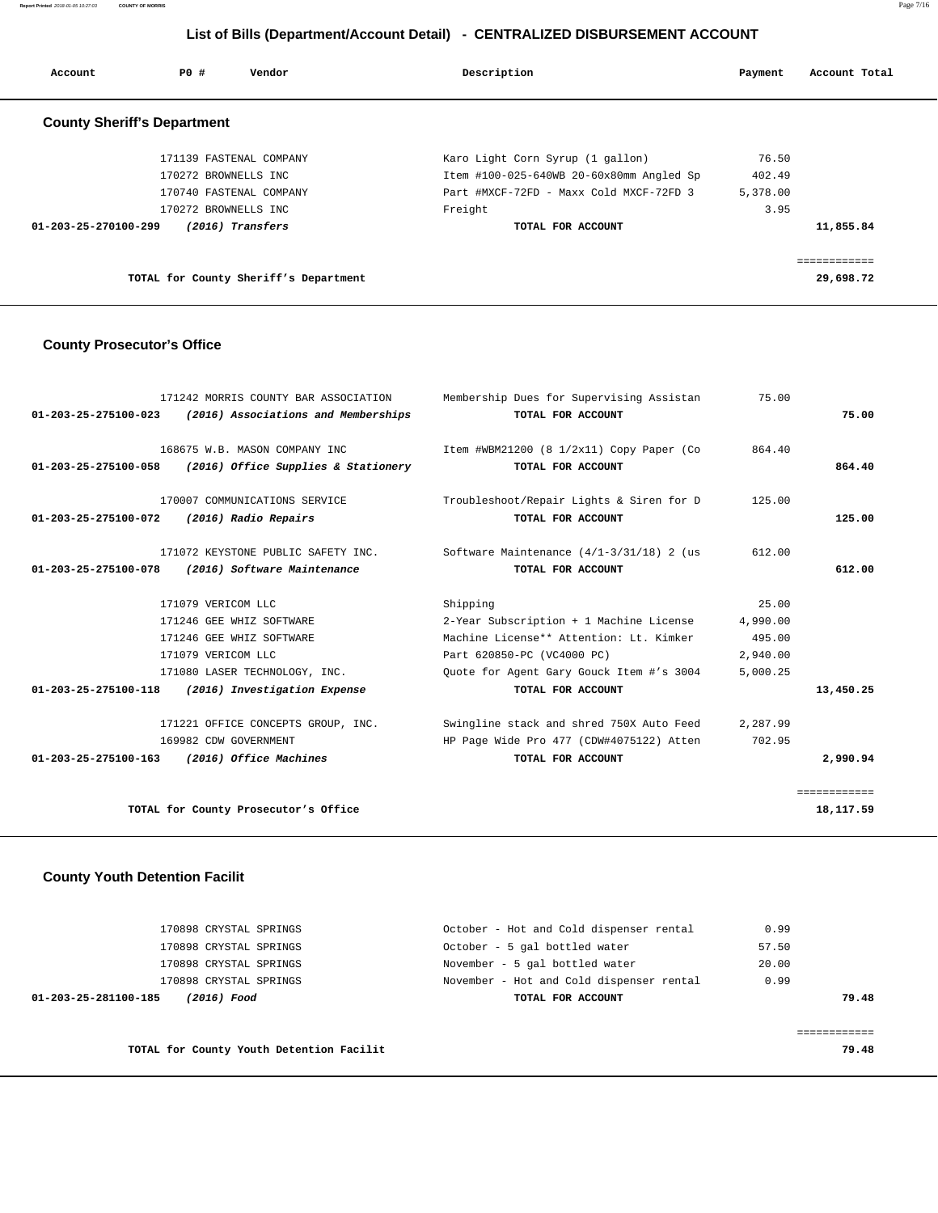**Report Printed** 2018-01-05 10:27:03 **COUNTY OF MORRIS** Page 7/16

## **List of Bills (Department/Account Detail) - CENTRALIZED DISBURSEMENT ACCOUNT**

| Account              | PO#<br>Vendor                         | Description                              | Payment  | Account Total |
|----------------------|---------------------------------------|------------------------------------------|----------|---------------|
|                      | <b>County Sheriff's Department</b>    |                                          |          |               |
|                      | 171139 FASTENAL COMPANY               | Karo Light Corn Syrup (1 gallon)         | 76.50    |               |
|                      | 170272 BROWNELLS INC                  | Item #100-025-640WB 20-60x80mm Angled Sp | 402.49   |               |
|                      | 170740 FASTENAL COMPANY               | Part #MXCF-72FD - Maxx Cold MXCF-72FD 3  | 5,378.00 |               |
|                      | 170272 BROWNELLS INC                  | Freight                                  | 3.95     |               |
| 01-203-25-270100-299 | (2016) Transfers                      | TOTAL FOR ACCOUNT                        |          | 11,855.84     |
|                      |                                       |                                          |          | ============  |
|                      | TOTAL for County Sheriff's Department |                                          |          | 29,698.72     |

## **County Prosecutor's Office**

| 171242 MORRIS COUNTY BAR ASSOCIATION                       | Membership Dues for Supervising Assistan                                    | 75.00    |              |
|------------------------------------------------------------|-----------------------------------------------------------------------------|----------|--------------|
| $01-203-25-275100-023$ (2016) Associations and Memberships | TOTAL FOR ACCOUNT                                                           |          | 75.00        |
|                                                            |                                                                             |          |              |
| 168675 W.B. MASON COMPANY INC                              | Item #WBM21200 (8 1/2x11) Copy Paper (Co                                    | 864.40   |              |
| $01-203-25-275100-058$ (2016) Office Supplies & Stationery | TOTAL FOR ACCOUNT                                                           |          | 864.40       |
|                                                            |                                                                             |          |              |
| 170007 COMMUNICATIONS SERVICE                              | Troubleshoot/Repair Lights & Siren for D                                    | 125.00   |              |
| 01-203-25-275100-072<br>(2016) Radio Repairs               | TOTAL FOR ACCOUNT                                                           |          | 125.00       |
|                                                            |                                                                             |          |              |
|                                                            | 171072 KEYSTONE PUBLIC SAFETY INC. Software Maintenance (4/1-3/31/18) 2 (us | 612.00   |              |
| (2016) Software Maintenance<br>01-203-25-275100-078        | TOTAL FOR ACCOUNT                                                           |          | 612.00       |
|                                                            |                                                                             |          |              |
| 171079 VERICOM LLC                                         | Shipping                                                                    | 25.00    |              |
| 171246 GEE WHIZ SOFTWARE                                   | 2-Year Subscription + 1 Machine License                                     | 4,990.00 |              |
| 171246 GEE WHIZ SOFTWARE                                   | Machine License** Attention: Lt. Kimker                                     | 495.00   |              |
| 171079 VERICOM LLC                                         | Part 620850-PC (VC4000 PC)                                                  | 2,940.00 |              |
| 171080 LASER TECHNOLOGY, INC.                              | Ouote for Agent Gary Gouck Item #'s 3004                                    | 5,000.25 |              |
| 01-203-25-275100-118 (2016) Investigation Expense          | TOTAL FOR ACCOUNT                                                           |          | 13,450.25    |
|                                                            |                                                                             |          |              |
| 171221 OFFICE CONCEPTS GROUP, INC.                         | Swingline stack and shred 750X Auto Feed                                    | 2,287.99 |              |
| 169982 CDW GOVERNMENT                                      | HP Page Wide Pro 477 (CDW#4075122) Atten                                    | 702.95   |              |
| 01-203-25-275100-163 (2016) Office Machines                | TOTAL FOR ACCOUNT                                                           |          | 2,990.94     |
|                                                            |                                                                             |          |              |
|                                                            |                                                                             |          | ============ |
| TOTAL for County Prosecutor's Office                       |                                                                             |          | 18, 117.59   |

## **County Youth Detention Facilit**

| 01-203-25-281100-185<br>(2016) Food | TOTAL FOR ACCOUNT                        |       | 79.48 |
|-------------------------------------|------------------------------------------|-------|-------|
| 170898 CRYSTAL SPRINGS              | November - Hot and Cold dispenser rental | 0.99  |       |
| 170898 CRYSTAL SPRINGS              | November - 5 gal bottled water           | 20.00 |       |
| 170898 CRYSTAL SPRINGS              | October - 5 gal bottled water            | 57.50 |       |
| 170898 CRYSTAL SPRINGS              | October - Hot and Cold dispenser rental  | 0.99  |       |
|                                     |                                          |       |       |

**TOTAL for County Youth Detention Facilit 79.48** 

============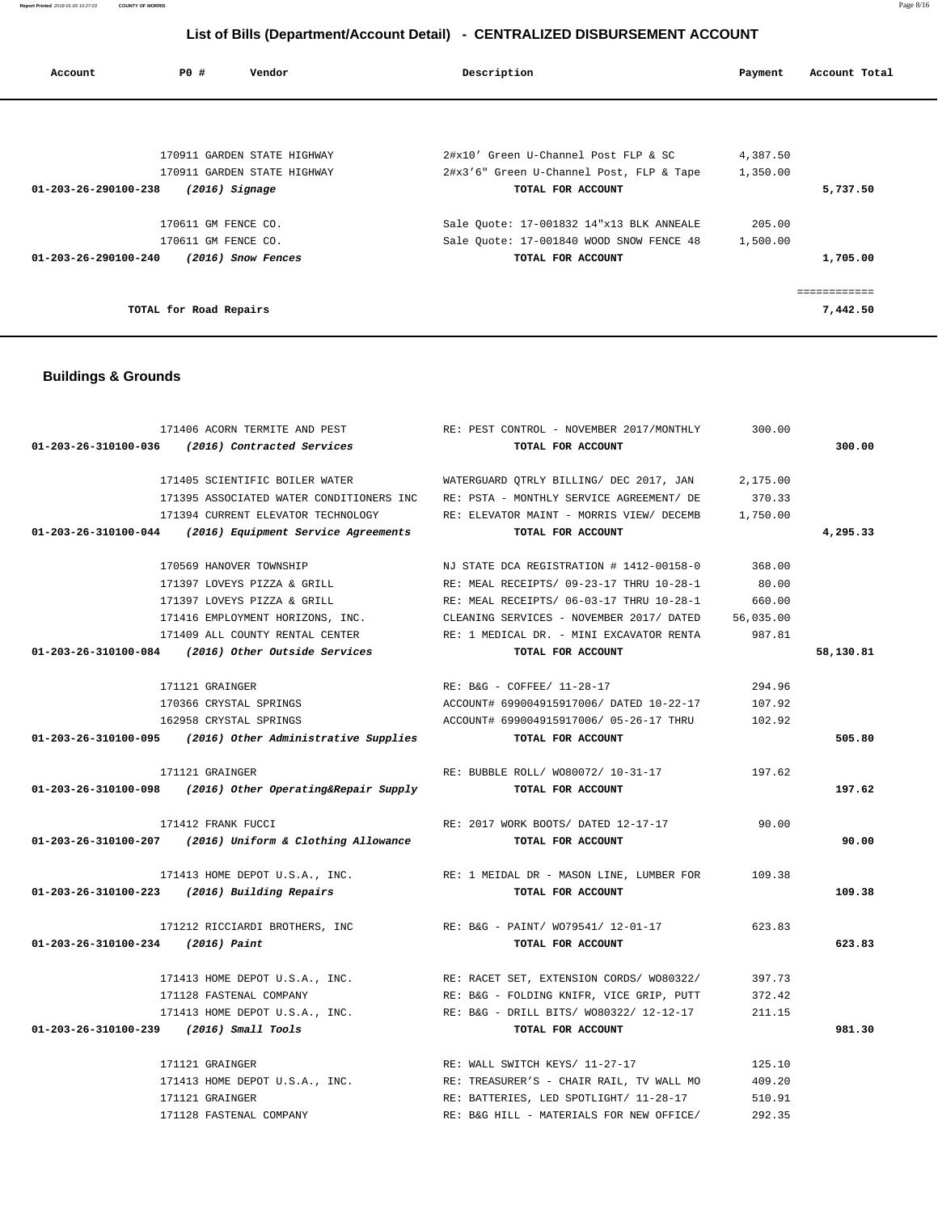**Report Printed** 2018-01-05 10:27:03 **COUNTY OF MORRIS** Page 8/16

# **List of Bills (Department/Account Detail) - CENTRALIZED DISBURSEMENT ACCOUNT**

| Account                        | PO#                    | Vendor                      | Description                              | Payment  | Account Total |
|--------------------------------|------------------------|-----------------------------|------------------------------------------|----------|---------------|
|                                |                        |                             |                                          |          |               |
|                                |                        |                             |                                          |          |               |
|                                |                        | 170911 GARDEN STATE HIGHWAY | 2#x10' Green U-Channel Post FLP & SC     | 4,387.50 |               |
|                                |                        | 170911 GARDEN STATE HIGHWAY | 2#x3'6" Green U-Channel Post, FLP & Tape | 1,350.00 |               |
| 01-203-26-290100-238           | $(2016)$ Signage       |                             | TOTAL FOR ACCOUNT                        |          | 5,737.50      |
|                                | 170611 GM FENCE CO.    |                             | Sale Quote: 17-001832 14"x13 BLK ANNEALE | 205.00   |               |
|                                | 170611 GM FENCE CO.    |                             | Sale Ouote: 17-001840 WOOD SNOW FENCE 48 | 1,500.00 |               |
| $01 - 203 - 26 - 290100 - 240$ |                        | (2016) Snow Fences          | TOTAL FOR ACCOUNT                        |          | 1,705.00      |
|                                |                        |                             |                                          |          |               |
|                                | TOTAL for Road Repairs |                             |                                          |          | 7,442.50      |

# **Buildings & Grounds**

|                                         | 171406 ACORN TERMITE AND PEST                               | RE: PEST CONTROL - NOVEMBER 2017/MONTHLY                                     | 300.00    |           |
|-----------------------------------------|-------------------------------------------------------------|------------------------------------------------------------------------------|-----------|-----------|
|                                         | 01-203-26-310100-036 (2016) Contracted Services             | TOTAL FOR ACCOUNT                                                            |           | 300.00    |
|                                         |                                                             |                                                                              |           |           |
|                                         | 171405 SCIENTIFIC BOILER WATER                              | WATERGUARD QTRLY BILLING/ DEC 2017, JAN                                      | 2,175.00  |           |
|                                         | 171395 ASSOCIATED WATER CONDITIONERS INC                    | RE: PSTA - MONTHLY SERVICE AGREEMENT/ DE                                     | 370.33    |           |
|                                         | 171394 CURRENT ELEVATOR TECHNOLOGY                          | RE: ELEVATOR MAINT - MORRIS VIEW/ DECEMB                                     | 1,750.00  |           |
|                                         | 01-203-26-310100-044 (2016) Equipment Service Agreements    | TOTAL FOR ACCOUNT                                                            |           | 4,295.33  |
|                                         |                                                             |                                                                              |           |           |
|                                         | 170569 HANOVER TOWNSHIP                                     | NJ STATE DCA REGISTRATION # 1412-00158-0                                     | 368.00    |           |
|                                         | 171397 LOVEYS PIZZA & GRILL                                 | RE: MEAL RECEIPTS/ 09-23-17 THRU 10-28-1                                     | 80.00     |           |
|                                         | 171397 LOVEYS PIZZA & GRILL                                 | RE: MEAL RECEIPTS/ 06-03-17 THRU 10-28-1                                     | 660.00    |           |
|                                         |                                                             | 171416 EMPLOYMENT HORIZONS, INC. CLEANING SERVICES - NOVEMBER 2017/ DATED    | 56,035.00 |           |
|                                         |                                                             | 171409 ALL COUNTY RENTAL CENTER THE RE: 1 MEDICAL DR. - MINI EXCAVATOR RENTA | 987.81    |           |
|                                         | 01-203-26-310100-084 (2016) Other Outside Services          | TOTAL FOR ACCOUNT                                                            |           | 58,130.81 |
|                                         |                                                             |                                                                              |           |           |
|                                         | 171121 GRAINGER                                             | RE: B&G - COFFEE/ 11-28-17                                                   | 294.96    |           |
|                                         | 170366 CRYSTAL SPRINGS                                      | ACCOUNT# 699004915917006/ DATED 10-22-17                                     | 107.92    |           |
|                                         | 162958 CRYSTAL SPRINGS                                      | ACCOUNT# 699004915917006/ 05-26-17 THRU                                      | 102.92    |           |
|                                         | $01-203-26-310100-095$ (2016) Other Administrative Supplies | TOTAL FOR ACCOUNT                                                            |           | 505.80    |
|                                         |                                                             |                                                                              |           |           |
|                                         | 171121 GRAINGER                                             | RE: BUBBLE ROLL/ WO80072/ 10-31-17                                           | 197.62    |           |
|                                         | $01-203-26-310100-098$ (2016) Other Operating&Repair Supply | TOTAL FOR ACCOUNT                                                            |           | 197.62    |
|                                         |                                                             |                                                                              |           |           |
|                                         | 171412 FRANK FUCCI                                          | RE: 2017 WORK BOOTS/ DATED 12-17-17                                          | 90.00     |           |
|                                         | 01-203-26-310100-207 (2016) Uniform & Clothing Allowance    | TOTAL FOR ACCOUNT                                                            |           | 90.00     |
|                                         |                                                             | 171413 HOME DEPOT U.S.A., INC. RE: 1 MEIDAL DR - MASON LINE, LUMBER FOR      | 109.38    |           |
|                                         | 01-203-26-310100-223 (2016) Building Repairs                | TOTAL FOR ACCOUNT                                                            |           | 109.38    |
|                                         |                                                             |                                                                              |           |           |
|                                         |                                                             | 171212 RICCIARDI BROTHERS, INC RE: B&G - PAINT/WO79541/12-01-17              | 623.83    |           |
| 01-203-26-310100-234 (2016) Paint       |                                                             | TOTAL FOR ACCOUNT                                                            |           | 623.83    |
|                                         |                                                             |                                                                              |           |           |
|                                         |                                                             | 171413 HOME DEPOT U.S.A., INC. RE: RACET SET, EXTENSION CORDS/ W080322/      | 397.73    |           |
|                                         | 171128 FASTENAL COMPANY                                     | RE: B&G - FOLDING KNIFR, VICE GRIP, PUTT                                     | 372.42    |           |
|                                         |                                                             | 171413 HOME DEPOT U.S.A., INC. RE: B&G - DRILL BITS/ W080322/ 12-12-17       | 211.15    |           |
| 01-203-26-310100-239 (2016) Small Tools |                                                             | TOTAL FOR ACCOUNT                                                            |           | 981.30    |
|                                         |                                                             |                                                                              |           |           |
|                                         | 171121 GRAINGER                                             | RE: WALL SWITCH KEYS/ 11-27-17                                               | 125.10    |           |
|                                         |                                                             | 171413 HOME DEPOT U.S.A., INC. RE: TREASURER'S - CHAIR RAIL, TV WALL MO      | 409.20    |           |
|                                         | 171121 GRAINGER                                             | RE: BATTERIES, LED SPOTLIGHT/ 11-28-17                                       | 510.91    |           |
|                                         | 171128 FASTENAL COMPANY                                     | RE: B&G HILL - MATERIALS FOR NEW OFFICE/                                     | 292.35    |           |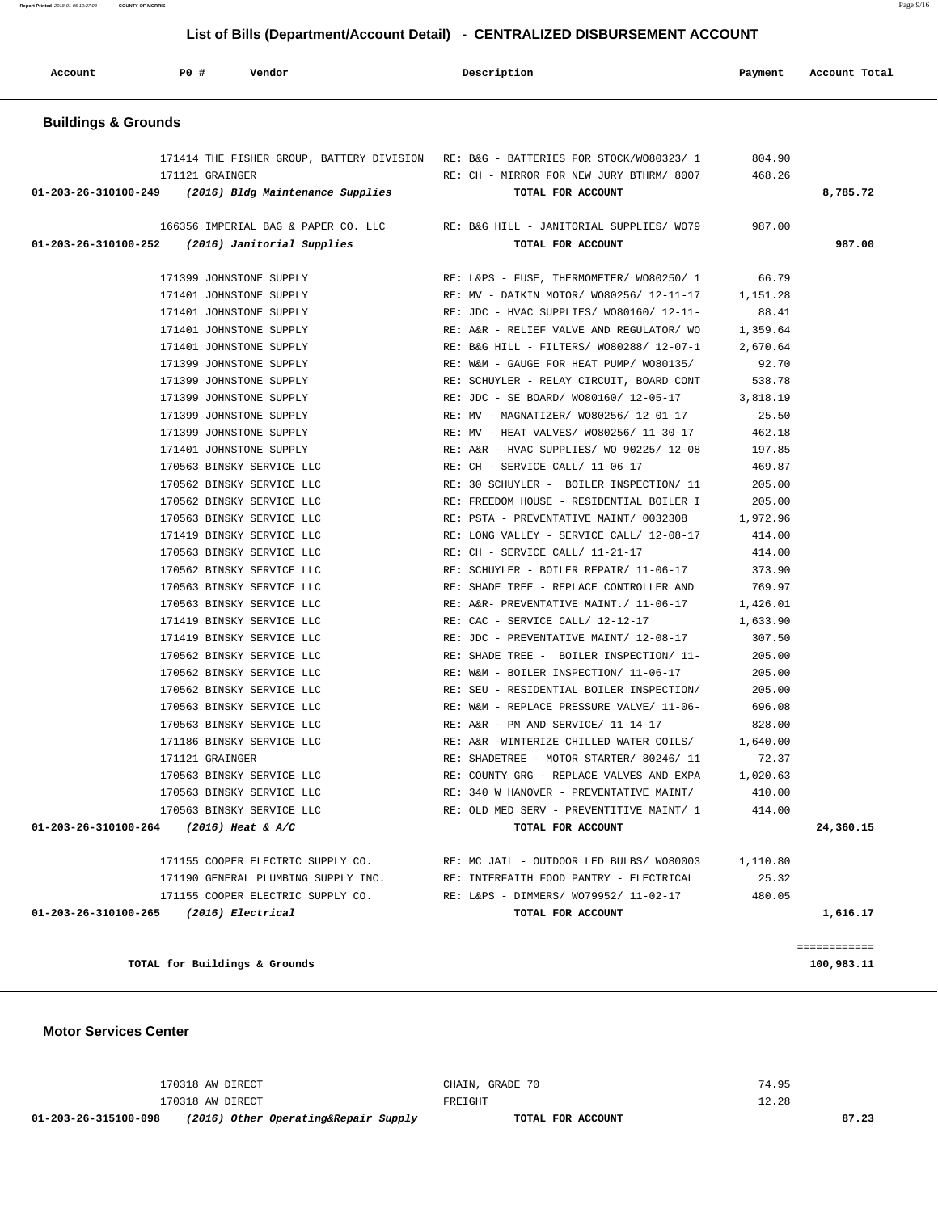**Report Printed** 2018-01-05 10:27:03 **COUNTY OF MORRIS** Page 9/16

# **List of Bills (Department/Account Detail) - CENTRALIZED DISBURSEMENT ACCOUNT**

| <b>Buildings &amp; Grounds</b><br>171414 THE FISHER GROUP, BATTERY DIVISION RE: B&G - BATTERIES FOR STOCK/W080323/ 1<br>804.90<br>171121 GRAINGER<br>RE: CH - MIRROR FOR NEW JURY BTHRM/ 8007<br>468.26<br>01-203-26-310100-249 (2016) Bldg Maintenance Supplies<br>TOTAL FOR ACCOUNT<br>8,785.72<br>166356 IMPERIAL BAG & PAPER CO. LLC<br>RE: B&G HILL - JANITORIAL SUPPLIES/ WO79<br>987.00<br>01-203-26-310100-252<br>(2016) Janitorial Supplies<br>TOTAL FOR ACCOUNT<br>987.00<br>66.79<br>171399 JOHNSTONE SUPPLY<br>RE: L&PS - FUSE, THERMOMETER/ WO80250/ 1<br>171401 JOHNSTONE SUPPLY<br>RE: MV - DAIKIN MOTOR/ WO80256/ 12-11-17<br>1,151.28<br>171401 JOHNSTONE SUPPLY<br>RE: JDC - HVAC SUPPLIES/ W080160/ 12-11-<br>88.41<br>1,359.64<br>171401 JOHNSTONE SUPPLY<br>RE: A&R - RELIEF VALVE AND REGULATOR/ WO<br>171401 JOHNSTONE SUPPLY<br>RE: B&G HILL - FILTERS/ W080288/ 12-07-1<br>2,670.64<br>171399 JOHNSTONE SUPPLY<br>RE: W&M - GAUGE FOR HEAT PUMP/ WO80135/<br>92.70<br>171399 JOHNSTONE SUPPLY<br>RE: SCHUYLER - RELAY CIRCUIT, BOARD CONT<br>538.78<br>171399 JOHNSTONE SUPPLY<br>RE: JDC - SE BOARD/ WO80160/ 12-05-17<br>3,818.19<br>171399 JOHNSTONE SUPPLY<br>25.50<br>RE: MV - MAGNATIZER/ W080256/ 12-01-17<br>171399 JOHNSTONE SUPPLY<br>RE: MV - HEAT VALVES/ WO80256/ 11-30-17<br>462.18<br>171401 JOHNSTONE SUPPLY<br>RE: A&R - HVAC SUPPLIES/ WO 90225/ 12-08<br>197.85<br>170563 BINSKY SERVICE LLC<br>RE: CH - SERVICE CALL/ 11-06-17<br>469.87<br>170562 BINSKY SERVICE LLC<br>RE: 30 SCHUYLER - BOILER INSPECTION/ 11<br>205.00<br>170562 BINSKY SERVICE LLC<br>RE: FREEDOM HOUSE - RESIDENTIAL BOILER I<br>205.00<br>170563 BINSKY SERVICE LLC<br>RE: PSTA - PREVENTATIVE MAINT/ 0032308<br>1,972.96<br>171419 BINSKY SERVICE LLC<br>RE: LONG VALLEY - SERVICE CALL/ 12-08-17<br>414.00<br>170563 BINSKY SERVICE LLC<br>RE: CH - SERVICE CALL/ 11-21-17<br>414.00<br>170562 BINSKY SERVICE LLC<br>RE: SCHUYLER - BOILER REPAIR/ 11-06-17<br>373.90<br>170563 BINSKY SERVICE LLC<br>769.97<br>RE: SHADE TREE - REPLACE CONTROLLER AND<br>170563 BINSKY SERVICE LLC<br>RE: A&R- PREVENTATIVE MAINT./ 11-06-17<br>1,426.01<br>171419 BINSKY SERVICE LLC<br>RE: CAC - SERVICE CALL/ 12-12-17<br>1,633.90<br>171419 BINSKY SERVICE LLC<br>RE: JDC - PREVENTATIVE MAINT/ 12-08-17<br>307.50<br>170562 BINSKY SERVICE LLC<br>RE: SHADE TREE - BOILER INSPECTION/ 11-<br>205.00<br>170562 BINSKY SERVICE LLC<br>RE: W&M - BOILER INSPECTION/ 11-06-17<br>205.00<br>170562 BINSKY SERVICE LLC<br>205.00<br>RE: SEU - RESIDENTIAL BOILER INSPECTION/<br>170563 BINSKY SERVICE LLC<br>RE: W&M - REPLACE PRESSURE VALVE/ 11-06-<br>696.08<br>828.00<br>170563 BINSKY SERVICE LLC<br>RE: A&R - PM AND SERVICE/ 11-14-17<br>171186 BINSKY SERVICE LLC<br>RE: A&R -WINTERIZE CHILLED WATER COILS/<br>1,640.00<br>72.37<br>171121 GRAINGER<br>RE: SHADETREE - MOTOR STARTER/ 80246/ 11<br>170563 BINSKY SERVICE LLC<br>RE: COUNTY GRG - REPLACE VALVES AND EXPA<br>1,020.63<br>170563 BINSKY SERVICE LLC<br>RE: 340 W HANOVER - PREVENTATIVE MAINT/<br>410.00<br>170563 BINSKY SERVICE LLC<br>RE: OLD MED SERV - PREVENTITIVE MAINT/ 1<br>414.00<br>01-203-26-310100-264 (2016) Heat & A/C<br>TOTAL FOR ACCOUNT<br>24,360.15<br>171155 COOPER ELECTRIC SUPPLY CO.<br>RE: MC JAIL - OUTDOOR LED BULBS/ WO80003<br>1,110.80<br>171190 GENERAL PLUMBING SUPPLY INC.<br>RE: INTERFAITH FOOD PANTRY - ELECTRICAL<br>25.32<br>480.05<br>171155 COOPER ELECTRIC SUPPLY CO.<br>RE: L&PS - DIMMERS/ WO79952/ 11-02-17<br>01-203-26-310100-265 (2016) Electrical<br>TOTAL FOR ACCOUNT<br>1,616.17 | Account | PO# | Vendor |  | Description | Payment | Account Total |
|------------------------------------------------------------------------------------------------------------------------------------------------------------------------------------------------------------------------------------------------------------------------------------------------------------------------------------------------------------------------------------------------------------------------------------------------------------------------------------------------------------------------------------------------------------------------------------------------------------------------------------------------------------------------------------------------------------------------------------------------------------------------------------------------------------------------------------------------------------------------------------------------------------------------------------------------------------------------------------------------------------------------------------------------------------------------------------------------------------------------------------------------------------------------------------------------------------------------------------------------------------------------------------------------------------------------------------------------------------------------------------------------------------------------------------------------------------------------------------------------------------------------------------------------------------------------------------------------------------------------------------------------------------------------------------------------------------------------------------------------------------------------------------------------------------------------------------------------------------------------------------------------------------------------------------------------------------------------------------------------------------------------------------------------------------------------------------------------------------------------------------------------------------------------------------------------------------------------------------------------------------------------------------------------------------------------------------------------------------------------------------------------------------------------------------------------------------------------------------------------------------------------------------------------------------------------------------------------------------------------------------------------------------------------------------------------------------------------------------------------------------------------------------------------------------------------------------------------------------------------------------------------------------------------------------------------------------------------------------------------------------------------------------------------------------------------------------------------------------------------------------------------------------------------------------------------------------------------------------------------------------------------------------------------------------------------------------------------------------------------------------------------------------------------------------------------------------------------------------------------------------------------------------------------------------------------------------------------------------------|---------|-----|--------|--|-------------|---------|---------------|
|                                                                                                                                                                                                                                                                                                                                                                                                                                                                                                                                                                                                                                                                                                                                                                                                                                                                                                                                                                                                                                                                                                                                                                                                                                                                                                                                                                                                                                                                                                                                                                                                                                                                                                                                                                                                                                                                                                                                                                                                                                                                                                                                                                                                                                                                                                                                                                                                                                                                                                                                                                                                                                                                                                                                                                                                                                                                                                                                                                                                                                                                                                                                                                                                                                                                                                                                                                                                                                                                                                                                                                                                                  |         |     |        |  |             |         |               |
|                                                                                                                                                                                                                                                                                                                                                                                                                                                                                                                                                                                                                                                                                                                                                                                                                                                                                                                                                                                                                                                                                                                                                                                                                                                                                                                                                                                                                                                                                                                                                                                                                                                                                                                                                                                                                                                                                                                                                                                                                                                                                                                                                                                                                                                                                                                                                                                                                                                                                                                                                                                                                                                                                                                                                                                                                                                                                                                                                                                                                                                                                                                                                                                                                                                                                                                                                                                                                                                                                                                                                                                                                  |         |     |        |  |             |         |               |
|                                                                                                                                                                                                                                                                                                                                                                                                                                                                                                                                                                                                                                                                                                                                                                                                                                                                                                                                                                                                                                                                                                                                                                                                                                                                                                                                                                                                                                                                                                                                                                                                                                                                                                                                                                                                                                                                                                                                                                                                                                                                                                                                                                                                                                                                                                                                                                                                                                                                                                                                                                                                                                                                                                                                                                                                                                                                                                                                                                                                                                                                                                                                                                                                                                                                                                                                                                                                                                                                                                                                                                                                                  |         |     |        |  |             |         |               |
|                                                                                                                                                                                                                                                                                                                                                                                                                                                                                                                                                                                                                                                                                                                                                                                                                                                                                                                                                                                                                                                                                                                                                                                                                                                                                                                                                                                                                                                                                                                                                                                                                                                                                                                                                                                                                                                                                                                                                                                                                                                                                                                                                                                                                                                                                                                                                                                                                                                                                                                                                                                                                                                                                                                                                                                                                                                                                                                                                                                                                                                                                                                                                                                                                                                                                                                                                                                                                                                                                                                                                                                                                  |         |     |        |  |             |         |               |
|                                                                                                                                                                                                                                                                                                                                                                                                                                                                                                                                                                                                                                                                                                                                                                                                                                                                                                                                                                                                                                                                                                                                                                                                                                                                                                                                                                                                                                                                                                                                                                                                                                                                                                                                                                                                                                                                                                                                                                                                                                                                                                                                                                                                                                                                                                                                                                                                                                                                                                                                                                                                                                                                                                                                                                                                                                                                                                                                                                                                                                                                                                                                                                                                                                                                                                                                                                                                                                                                                                                                                                                                                  |         |     |        |  |             |         |               |
|                                                                                                                                                                                                                                                                                                                                                                                                                                                                                                                                                                                                                                                                                                                                                                                                                                                                                                                                                                                                                                                                                                                                                                                                                                                                                                                                                                                                                                                                                                                                                                                                                                                                                                                                                                                                                                                                                                                                                                                                                                                                                                                                                                                                                                                                                                                                                                                                                                                                                                                                                                                                                                                                                                                                                                                                                                                                                                                                                                                                                                                                                                                                                                                                                                                                                                                                                                                                                                                                                                                                                                                                                  |         |     |        |  |             |         | ============  |

**Motor Services Center** 

| 01-203-26-315100-098 | (2016) Other Operating&Repair Supply | TOTAL FOR ACCOUNT |       | 87.23 |
|----------------------|--------------------------------------|-------------------|-------|-------|
|                      | 170318 AW DIRECT                     | FREIGHT           | 12.28 |       |
|                      | 170318 AW DIRECT                     | CHAIN, GRADE 70   | 74.95 |       |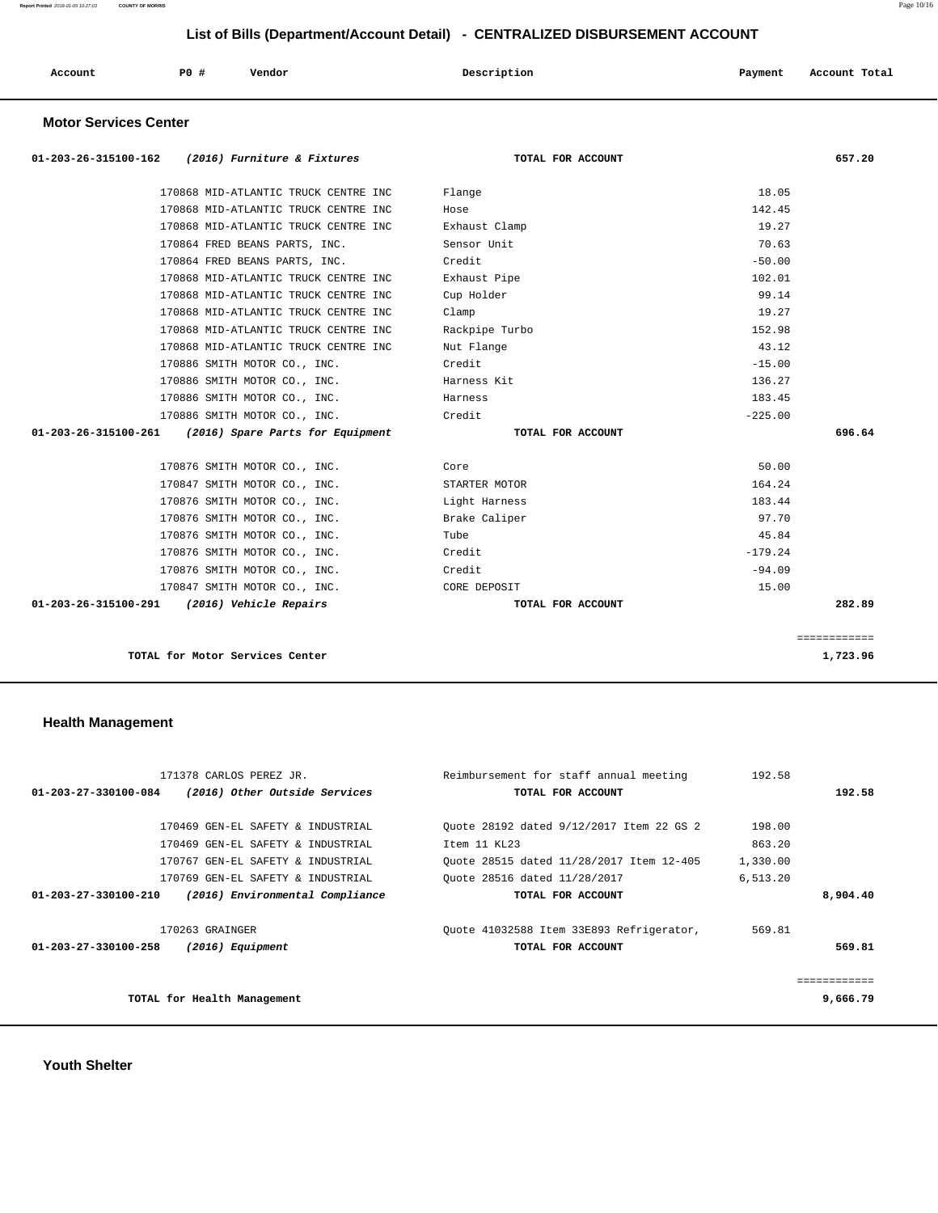| Account | PO# | Vendor | Description | Payment | Account Total |
|---------|-----|--------|-------------|---------|---------------|
|         |     |        |             |         |               |

## **Motor Services Center**

| 01-203-26-315100-162 (2016) Furniture & Fixtures      | TOTAL FOR ACCOUNT | 657.20       |
|-------------------------------------------------------|-------------------|--------------|
| 170868 MID-ATLANTIC TRUCK CENTRE INC                  | Flange            | 18.05        |
| 170868 MID-ATLANTIC TRUCK CENTRE INC                  | Hose              | 142.45       |
| 170868 MID-ATLANTIC TRUCK CENTRE INC                  | Exhaust Clamp     | 19.27        |
| 170864 FRED BEANS PARTS, INC.                         | Sensor Unit       | 70.63        |
| 170864 FRED BEANS PARTS, INC.                         | Credit            | $-50.00$     |
| 170868 MID-ATLANTIC TRUCK CENTRE INC                  | Exhaust Pipe      | 102.01       |
| 170868 MID-ATLANTIC TRUCK CENTRE INC                  | Cup Holder        | 99.14        |
| 170868 MID-ATLANTIC TRUCK CENTRE INC                  | Clamp             | 19.27        |
| 170868 MID-ATLANTIC TRUCK CENTRE INC                  | Rackpipe Turbo    | 152.98       |
| 170868 MID-ATLANTIC TRUCK CENTRE INC                  | Nut Flange        | 43.12        |
| 170886 SMITH MOTOR CO., INC.                          | Credit            | $-15.00$     |
| 170886 SMITH MOTOR CO., INC.                          | Harness Kit       | 136.27       |
| 170886 SMITH MOTOR CO., INC.                          | Harness           | 183.45       |
| 170886 SMITH MOTOR CO., INC.                          | Credit            | $-225.00$    |
| 01-203-26-315100-261 (2016) Spare Parts for Equipment | TOTAL FOR ACCOUNT | 696.64       |
| 170876 SMITH MOTOR CO., INC.                          | Core              | 50.00        |
| 170847 SMITH MOTOR CO., INC.                          | STARTER MOTOR     | 164.24       |
| 170876 SMITH MOTOR CO., INC.                          | Light Harness     | 183.44       |
| 170876 SMITH MOTOR CO., INC.                          | Brake Caliper     | 97.70        |
| 170876 SMITH MOTOR CO., INC.                          | Tube              | 45.84        |
| 170876 SMITH MOTOR CO., INC.                          | Credit            | $-179.24$    |
| 170876 SMITH MOTOR CO., INC.                          | Credit            | $-94.09$     |
| 170847 SMITH MOTOR CO., INC.                          | CORE DEPOSIT      | 15.00        |
| 01-203-26-315100-291 (2016) Vehicle Repairs           | TOTAL FOR ACCOUNT | 282.89       |
|                                                       |                   | ============ |
| TOTAL for Motor Services Center                       |                   | 1,723.96     |

# **Health Management**

| 171378 CARLOS PEREZ JR.                                 | Reimbursement for staff annual meeting   | 192.58   |             |
|---------------------------------------------------------|------------------------------------------|----------|-------------|
| (2016) Other Outside Services<br>01-203-27-330100-084   | TOTAL FOR ACCOUNT                        |          | 192.58      |
|                                                         |                                          |          |             |
| 170469 GEN-EL SAFETY & INDUSTRIAL                       | Ouote 28192 dated 9/12/2017 Item 22 GS 2 | 198.00   |             |
| 170469 GEN-EL SAFETY & INDUSTRIAL                       | Item 11 KL23                             | 863.20   |             |
| 170767 GEN-EL SAFETY & INDUSTRIAL                       | Ouote 28515 dated 11/28/2017 Item 12-405 | 1,330.00 |             |
| 170769 GEN-EL SAFETY & INDUSTRIAL                       | Ouote 28516 dated 11/28/2017             | 6,513.20 |             |
| 01-203-27-330100-210<br>(2016) Environmental Compliance | TOTAL FOR ACCOUNT                        |          | 8,904.40    |
|                                                         |                                          |          |             |
| 170263 GRAINGER                                         | Quote 41032588 Item 33E893 Refrigerator, | 569.81   |             |
| 01-203-27-330100-258<br>$(2016)$ Equipment              | TOTAL FOR ACCOUNT                        |          | 569.81      |
|                                                         |                                          |          |             |
|                                                         |                                          |          | =========== |
| TOTAL for Health Management                             |                                          |          | 9,666.79    |
|                                                         |                                          |          |             |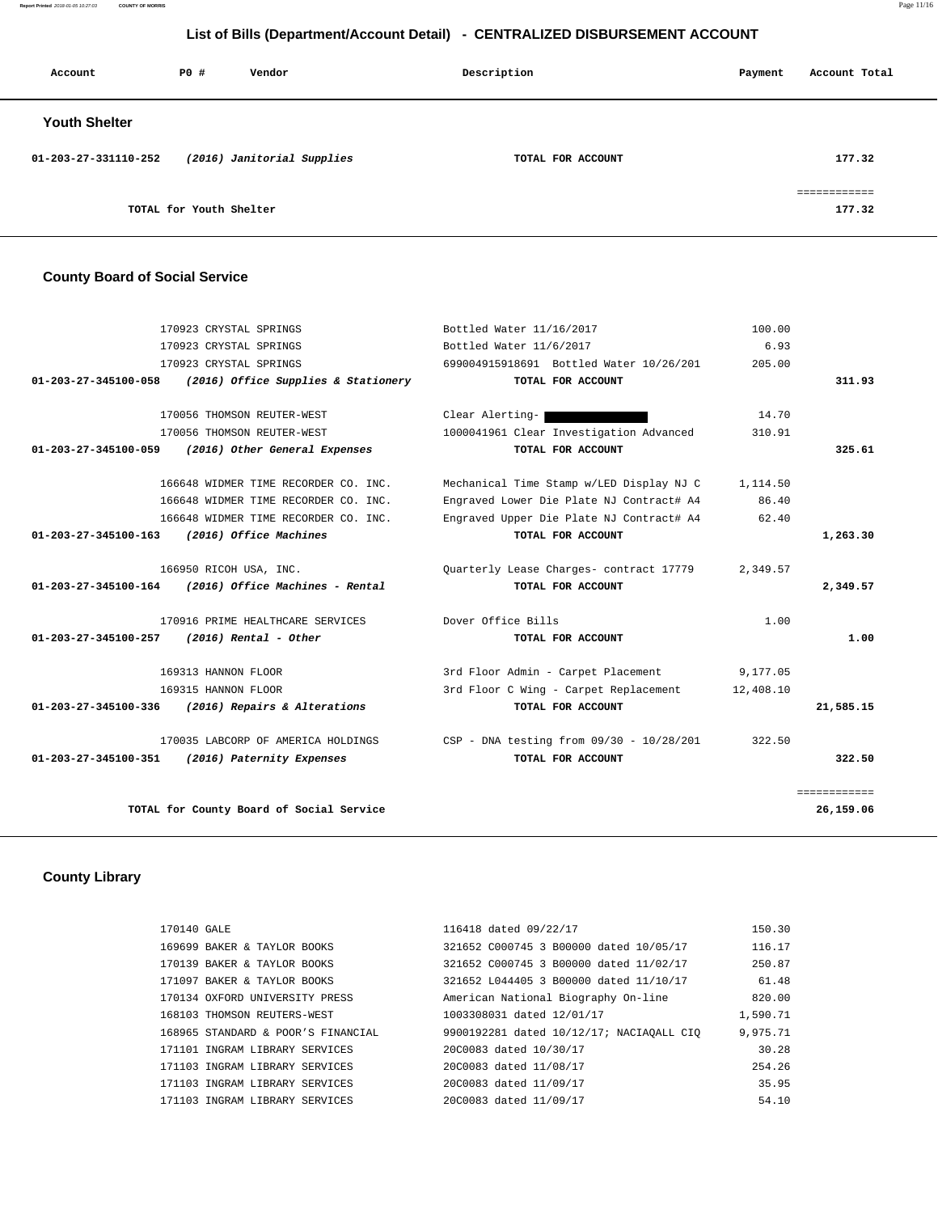**Report Printed** 2018-01-05 10:27:03 **COUNTY OF MORRIS** Page 11/16

# **List of Bills (Department/Account Detail) - CENTRALIZED DISBURSEMENT ACCOUNT**

| Account              | PO#                     | Vendor                     | Description       | Payment | Account Total |
|----------------------|-------------------------|----------------------------|-------------------|---------|---------------|
| <b>Youth Shelter</b> |                         |                            |                   |         |               |
| 01-203-27-331110-252 |                         | (2016) Janitorial Supplies | TOTAL FOR ACCOUNT |         | 177.32        |
|                      | TOTAL for Youth Shelter |                            |                   |         | 177.32        |

# **County Board of Social Service**

| 170923 CRYSTAL SPRINGS                                      | Bottled Water 11/16/2017                   | 100.00    |              |
|-------------------------------------------------------------|--------------------------------------------|-----------|--------------|
| 170923 CRYSTAL SPRINGS                                      | Bottled Water 11/6/2017                    | 6.93      |              |
| 170923 CRYSTAL SPRINGS                                      | 699004915918691 Bottled Water 10/26/201    | 205.00    |              |
| (2016) Office Supplies & Stationery<br>01-203-27-345100-058 | TOTAL FOR ACCOUNT                          |           | 311.93       |
|                                                             |                                            |           |              |
| 170056 THOMSON REUTER-WEST                                  | Clear Alerting-                            | 14.70     |              |
| 170056 THOMSON REUTER-WEST                                  | 1000041961 Clear Investigation Advanced    | 310.91    |              |
| 01-203-27-345100-059<br>(2016) Other General Expenses       | TOTAL FOR ACCOUNT                          |           | 325.61       |
|                                                             |                                            |           |              |
| 166648 WIDMER TIME RECORDER CO. INC.                        | Mechanical Time Stamp w/LED Display NJ C   | 1,114.50  |              |
| 166648 WIDMER TIME RECORDER CO. INC.                        | Engraved Lower Die Plate NJ Contract# A4   | 86.40     |              |
| 166648 WIDMER TIME RECORDER CO. INC.                        | Engraved Upper Die Plate NJ Contract# A4   | 62.40     |              |
| (2016) Office Machines<br>01-203-27-345100-163              | TOTAL FOR ACCOUNT                          |           | 1,263.30     |
|                                                             |                                            |           |              |
| 166950 RICOH USA, INC.                                      | Quarterly Lease Charges- contract 17779    | 2,349.57  |              |
| (2016) Office Machines - Rental<br>01-203-27-345100-164     | TOTAL FOR ACCOUNT                          |           | 2,349.57     |
|                                                             |                                            |           |              |
| 170916 PRIME HEALTHCARE SERVICES                            | Dover Office Bills                         | 1.00      |              |
| $(2016)$ Rental - Other<br>01-203-27-345100-257             | TOTAL FOR ACCOUNT                          |           | 1.00         |
|                                                             |                                            |           |              |
| 169313 HANNON FLOOR                                         | 3rd Floor Admin - Carpet Placement         | 9,177.05  |              |
| 169315 HANNON FLOOR                                         | 3rd Floor C Wing - Carpet Replacement      | 12,408.10 |              |
| (2016) Repairs & Alterations<br>01-203-27-345100-336        | TOTAL FOR ACCOUNT                          |           | 21,585.15    |
|                                                             |                                            |           |              |
| 170035 LABCORP OF AMERICA HOLDINGS                          | $CSP - DNA testing from 09/30 - 10/28/201$ | 322.50    |              |
| 01-203-27-345100-351<br>(2016) Paternity Expenses           | TOTAL FOR ACCOUNT                          |           | 322.50       |
|                                                             |                                            |           |              |
|                                                             |                                            |           | ============ |
| TOTAL for County Board of Social Service                    |                                            |           | 26,159.06    |
|                                                             |                                            |           |              |

# **County Library**

| 321652 C000745 3 B00000 dated 10/05/17<br>116.17<br>169699 BAKER & TAYLOR BOOKS            |  |
|--------------------------------------------------------------------------------------------|--|
|                                                                                            |  |
| 250.87<br>321652 C000745 3 B00000 dated 11/02/17<br>170139 BAKER & TAYLOR BOOKS            |  |
| 61.48<br>321652 L044405 3 B00000 dated 11/10/17<br>171097 BAKER & TAYLOR BOOKS             |  |
| 820.00<br>170134 OXFORD UNIVERSITY PRESS<br>American National Biography On-line            |  |
| 1,590.71<br>1003308031 dated 12/01/17<br>168103 THOMSON REUTERS-WEST                       |  |
| 9,975.71<br>9900192281 dated 10/12/17; NACIAOALL CIO<br>168965 STANDARD & POOR'S FINANCIAL |  |
| 30.28<br>20C0083 dated 10/30/17<br>171101 INGRAM LIBRARY SERVICES                          |  |
| 254.26<br>171103 INGRAM LIBRARY SERVICES<br>20C0083 dated 11/08/17                         |  |
| 35.95<br>171103 INGRAM LIBRARY SERVICES<br>20C0083 dated 11/09/17                          |  |
| 54.10<br>20C0083 dated 11/09/17<br>171103 INGRAM LIBRARY SERVICES                          |  |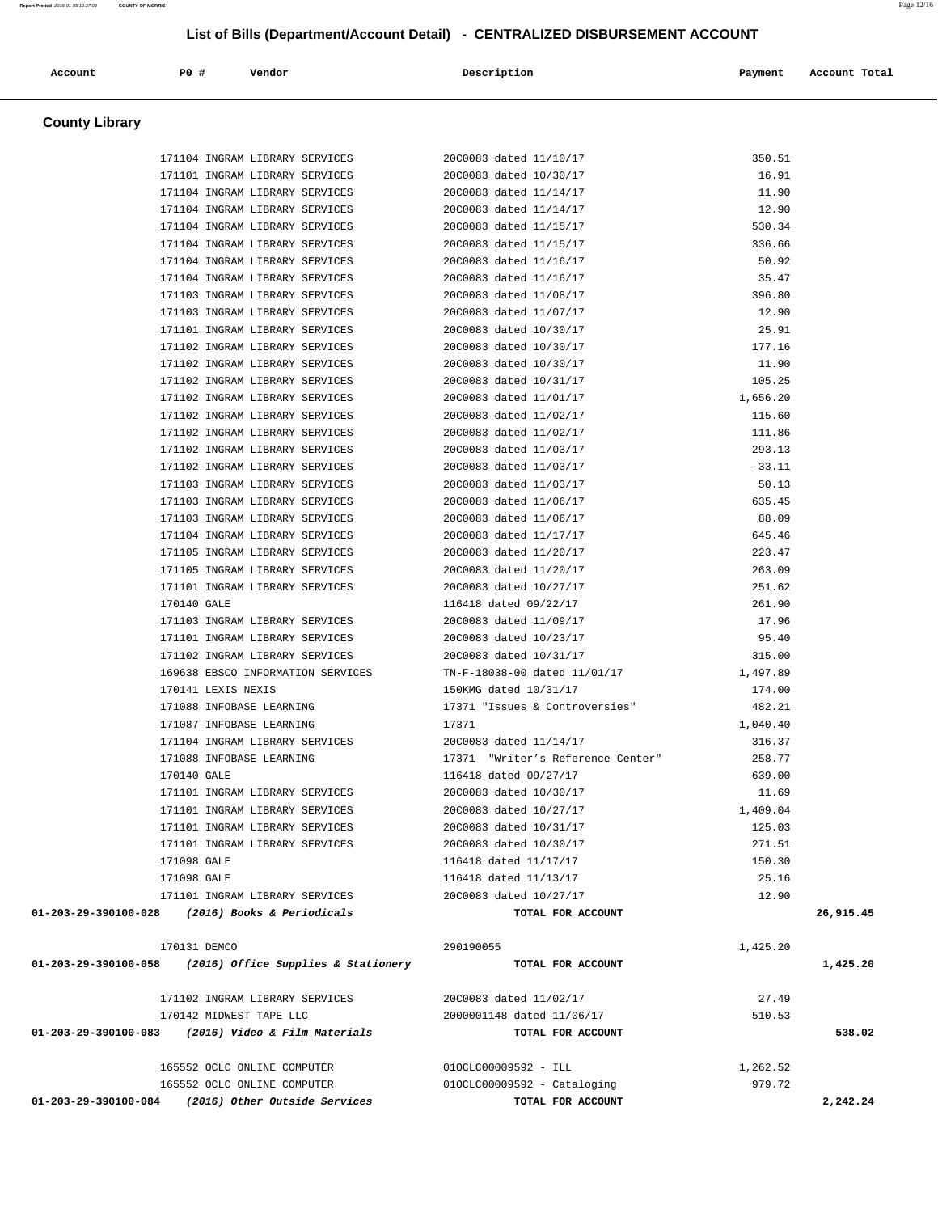| Account                                         | P0 #                     | Vendor                                                   | Description                       | Payment  | Account Total |
|-------------------------------------------------|--------------------------|----------------------------------------------------------|-----------------------------------|----------|---------------|
|                                                 |                          |                                                          |                                   |          |               |
| <b>County Library</b>                           |                          |                                                          |                                   |          |               |
|                                                 |                          | 171104 INGRAM LIBRARY SERVICES                           | 20C0083 dated 11/10/17            | 350.51   |               |
|                                                 |                          | 171101 INGRAM LIBRARY SERVICES                           | 20C0083 dated 10/30/17            | 16.91    |               |
|                                                 |                          | 171104 INGRAM LIBRARY SERVICES                           | 20C0083 dated 11/14/17            | 11.90    |               |
|                                                 |                          | 171104 INGRAM LIBRARY SERVICES                           | 20C0083 dated 11/14/17            | 12.90    |               |
|                                                 |                          | 171104 INGRAM LIBRARY SERVICES                           | 20C0083 dated 11/15/17            | 530.34   |               |
|                                                 |                          | 171104 INGRAM LIBRARY SERVICES                           | 20C0083 dated 11/15/17            | 336.66   |               |
|                                                 |                          | 171104 INGRAM LIBRARY SERVICES                           | 20C0083 dated 11/16/17            | 50.92    |               |
|                                                 |                          | 171104 INGRAM LIBRARY SERVICES                           | 20C0083 dated 11/16/17            | 35.47    |               |
|                                                 |                          | 171103 INGRAM LIBRARY SERVICES                           | 20C0083 dated 11/08/17            | 396.80   |               |
|                                                 |                          | 171103 INGRAM LIBRARY SERVICES                           | 20C0083 dated 11/07/17            | 12.90    |               |
|                                                 |                          | 171101 INGRAM LIBRARY SERVICES                           | 20C0083 dated 10/30/17            | 25.91    |               |
|                                                 |                          | 171102 INGRAM LIBRARY SERVICES                           | 20C0083 dated 10/30/17            | 177.16   |               |
|                                                 |                          | 171102 INGRAM LIBRARY SERVICES                           | 20C0083 dated 10/30/17            | 11.90    |               |
|                                                 |                          | 171102 INGRAM LIBRARY SERVICES                           | 20C0083 dated 10/31/17            | 105.25   |               |
|                                                 |                          | 171102 INGRAM LIBRARY SERVICES                           | 20C0083 dated 11/01/17            | 1,656.20 |               |
|                                                 |                          | 171102 INGRAM LIBRARY SERVICES                           | 20C0083 dated 11/02/17            | 115.60   |               |
|                                                 |                          | 171102 INGRAM LIBRARY SERVICES                           | 20C0083 dated 11/02/17            | 111.86   |               |
|                                                 |                          | 171102 INGRAM LIBRARY SERVICES                           | 20C0083 dated 11/03/17            | 293.13   |               |
|                                                 |                          | 171102 INGRAM LIBRARY SERVICES                           | 20C0083 dated 11/03/17            | $-33.11$ |               |
|                                                 |                          | 171103 INGRAM LIBRARY SERVICES                           | 20C0083 dated 11/03/17            | 50.13    |               |
|                                                 |                          | 171103 INGRAM LIBRARY SERVICES                           | 20C0083 dated 11/06/17            | 635.45   |               |
|                                                 |                          | 171103 INGRAM LIBRARY SERVICES                           | 20C0083 dated 11/06/17            | 88.09    |               |
|                                                 |                          | 171104 INGRAM LIBRARY SERVICES                           | 20C0083 dated 11/17/17            | 645.46   |               |
|                                                 |                          | 171105 INGRAM LIBRARY SERVICES                           | 20C0083 dated 11/20/17            | 223.47   |               |
|                                                 |                          | 171105 INGRAM LIBRARY SERVICES                           | 20C0083 dated 11/20/17            | 263.09   |               |
|                                                 |                          | 171101 INGRAM LIBRARY SERVICES                           | 20C0083 dated 10/27/17            | 251.62   |               |
|                                                 | 170140 GALE              |                                                          | 116418 dated 09/22/17             | 261.90   |               |
|                                                 |                          | 171103 INGRAM LIBRARY SERVICES                           | 20C0083 dated 11/09/17            | 17.96    |               |
|                                                 |                          | 171101 INGRAM LIBRARY SERVICES                           | 20C0083 dated 10/23/17            | 95.40    |               |
|                                                 |                          | 171102 INGRAM LIBRARY SERVICES                           | 20C0083 dated 10/31/17            | 315.00   |               |
|                                                 |                          | 169638 EBSCO INFORMATION SERVICES                        | TN-F-18038-00 dated 11/01/17      | 1,497.89 |               |
|                                                 | 170141 LEXIS NEXIS       |                                                          | 150KMG dated 10/31/17             | 174.00   |               |
|                                                 | 171088 INFOBASE LEARNING |                                                          | 17371 "Issues & Controversies"    | 482.21   |               |
|                                                 | 171087 INFOBASE LEARNING |                                                          | 17371                             | 1,040.40 |               |
|                                                 |                          | 171104 INGRAM LIBRARY SERVICES                           | 20C0083 dated 11/14/17            | 316.37   |               |
|                                                 | 171088 INFOBASE LEARNING |                                                          | 17371 "Writer's Reference Center" | 258.77   |               |
|                                                 | 170140 GALE              |                                                          | 116418 dated 09/27/17             | 639.00   |               |
|                                                 |                          | 171101 INGRAM LIBRARY SERVICES                           | 20C0083 dated 10/30/17            | 11.69    |               |
|                                                 |                          | 171101 INGRAM LIBRARY SERVICES                           | 20C0083 dated 10/27/17            | 1,409.04 |               |
|                                                 |                          | 171101 INGRAM LIBRARY SERVICES                           | 20C0083 dated 10/31/17            | 125.03   |               |
|                                                 |                          | 171101 INGRAM LIBRARY SERVICES                           | 20C0083 dated 10/30/17            | 271.51   |               |
|                                                 | 171098 GALE              |                                                          | 116418 dated 11/17/17             | 150.30   |               |
|                                                 | 171098 GALE              |                                                          | 116418 dated 11/13/17             | 25.16    |               |
|                                                 |                          | 171101 INGRAM LIBRARY SERVICES                           | 20C0083 dated 10/27/17            | 12.90    |               |
| 01-203-29-390100-028 (2016) Books & Periodicals |                          |                                                          | TOTAL FOR ACCOUNT                 |          | 26,915.45     |
|                                                 | 170131 DEMCO             |                                                          | 290190055                         | 1,425.20 |               |
|                                                 |                          | 01-203-29-390100-058 (2016) Office Supplies & Stationery | TOTAL FOR ACCOUNT                 |          | 1,425.20      |
|                                                 |                          | 171102 INGRAM LIBRARY SERVICES                           | 20C0083 dated 11/02/17            | 27.49    |               |
|                                                 | 170142 MIDWEST TAPE LLC  |                                                          | 2000001148 dated 11/06/17         | 510.53   |               |
|                                                 |                          | 01-203-29-390100-083 (2016) Video & Film Materials       | TOTAL FOR ACCOUNT                 |          | 538.02        |
|                                                 |                          | 165552 OCLC ONLINE COMPUTER                              | 010CLC00009592 - ILL              | 1,262.52 |               |
|                                                 |                          | 165552 OCLC ONLINE COMPUTER                              | $010CLC00009592 - Cataloging$     | 979.72   |               |
|                                                 |                          | 01-203-29-390100-084 (2016) Other Outside Services       | TOTAL FOR ACCOUNT                 |          | 2,242.24      |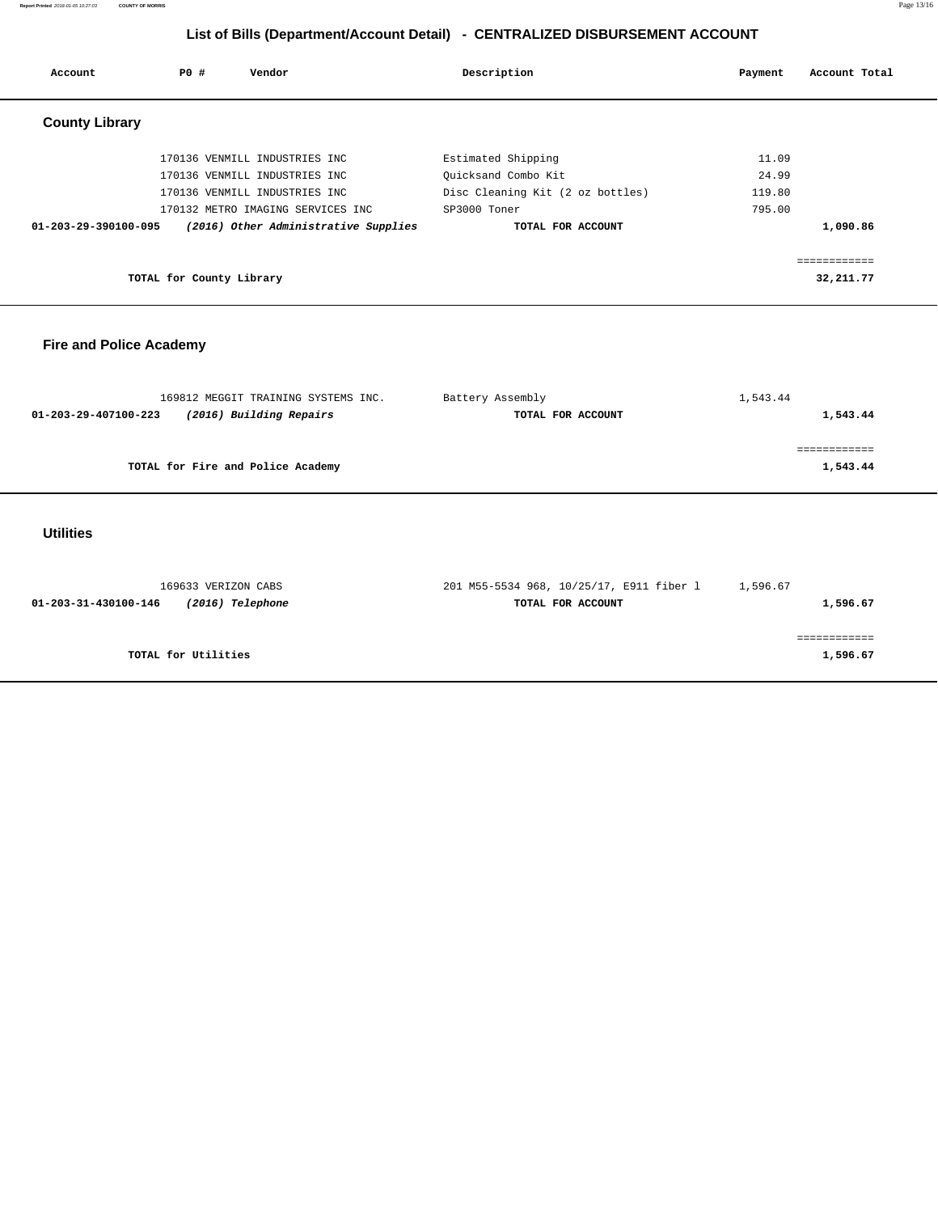**Report Printed** 2018-01-05 10:27:03 **COUNTY OF MORRIS** Page 13/16

============

# **List of Bills (Department/Account Detail) - CENTRALIZED DISBURSEMENT ACCOUNT**

| Account                                                | PO#<br>Vendor                                                  | Description                              | Payment  | Account Total            |
|--------------------------------------------------------|----------------------------------------------------------------|------------------------------------------|----------|--------------------------|
| <b>County Library</b>                                  |                                                                |                                          |          |                          |
|                                                        | 170136 VENMILL INDUSTRIES INC                                  | Estimated Shipping                       | 11.09    |                          |
|                                                        | 170136 VENMILL INDUSTRIES INC                                  | Ouicksand Combo Kit                      | 24.99    |                          |
|                                                        | 170136 VENMILL INDUSTRIES INC                                  | Disc Cleaning Kit (2 oz bottles)         | 119.80   |                          |
|                                                        | 170132 METRO IMAGING SERVICES INC                              | SP3000 Toner                             | 795.00   |                          |
| 01-203-29-390100-095                                   | (2016) Other Administrative Supplies                           | TOTAL FOR ACCOUNT                        |          | 1,090.86                 |
|                                                        |                                                                |                                          |          |                          |
|                                                        |                                                                |                                          |          | ============             |
|                                                        | TOTAL for County Library                                       |                                          |          | 32, 211.77               |
| <b>Fire and Police Academy</b><br>01-203-29-407100-223 | 169812 MEGGIT TRAINING SYSTEMS INC.<br>(2016) Building Repairs | Battery Assembly<br>TOTAL FOR ACCOUNT    | 1,543.44 | 1,543.44<br>============ |
|                                                        | TOTAL for Fire and Police Academy                              |                                          |          | 1,543.44                 |
| <b>Utilities</b>                                       |                                                                |                                          |          |                          |
|                                                        | 169633 VERIZON CABS                                            | 201 M55-5534 968, 10/25/17, E911 fiber 1 | 1,596.67 |                          |
| 01-203-31-430100-146                                   | (2016) Telephone                                               | TOTAL FOR ACCOUNT                        |          | 1,596.67                 |

**TOTAL for Utilities 1,596.67**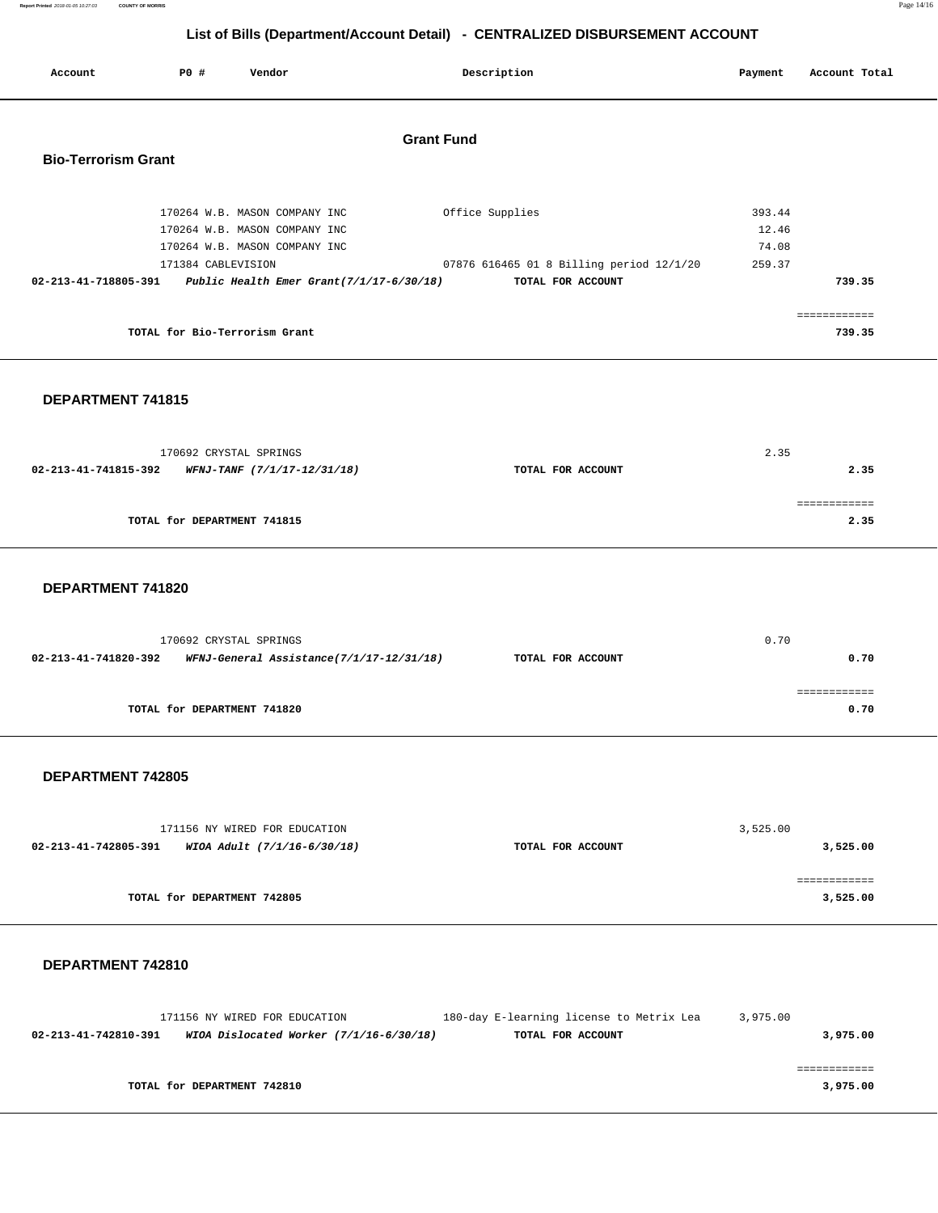| Report Printed 2018-01-05 10:27:03 | <b>COUNTY OF MORRIS</b> |                                                                              |  |
|------------------------------------|-------------------------|------------------------------------------------------------------------------|--|
|                                    |                         |                                                                              |  |
|                                    |                         | List of Bills (Department/Account Detail) - CENTRALIZED DISBURSEMENT ACCOUNT |  |

|                            | List of Bills (Department/Account Detail) - CENTRALIZED DISBURSEMENT ACCOUNT |                                                               |                                          |         |               |  |
|----------------------------|------------------------------------------------------------------------------|---------------------------------------------------------------|------------------------------------------|---------|---------------|--|
| Account                    | PO#                                                                          | Vendor                                                        | Description                              | Payment | Account Total |  |
|                            |                                                                              |                                                               | <b>Grant Fund</b>                        |         |               |  |
| <b>Bio-Terrorism Grant</b> |                                                                              |                                                               |                                          |         |               |  |
|                            |                                                                              |                                                               |                                          |         |               |  |
|                            |                                                                              | 170264 W.B. MASON COMPANY INC                                 | Office Supplies                          | 393.44  |               |  |
|                            |                                                                              | 170264 W.B. MASON COMPANY INC                                 |                                          | 12.46   |               |  |
|                            |                                                                              | 170264 W.B. MASON COMPANY INC                                 |                                          | 74.08   |               |  |
|                            | 171384 CABLEVISION                                                           |                                                               | 07876 616465 01 8 Billing period 12/1/20 | 259.37  |               |  |
|                            |                                                                              | 02-213-41-718805-391 Public Health Emer Grant(7/1/17-6/30/18) | TOTAL FOR ACCOUNT                        |         | 739.35        |  |
|                            |                                                                              |                                                               |                                          |         | ============  |  |
|                            | TOTAL for Bio-Terrorism Grant                                                |                                                               |                                          |         | 739.35        |  |
|                            |                                                                              |                                                               |                                          |         |               |  |

## **DEPARTMENT 741815**

|                      | 170692 CRYSTAL SPRINGS             |                   | 2.35 |      |
|----------------------|------------------------------------|-------------------|------|------|
| 02-213-41-741815-392 | <i>WFNJ-TANF (7/1/17-12/31/18)</i> | TOTAL FOR ACCOUNT |      | 2.35 |
|                      |                                    |                   |      |      |
|                      |                                    |                   |      |      |
|                      | TOTAL for DEPARTMENT 741815        |                   |      | 2.35 |
|                      |                                    |                   |      |      |

### **DEPARTMENT 741820**

|                      | 170692 CRYSTAL SPRINGS                   |                   | 0.70 |
|----------------------|------------------------------------------|-------------------|------|
| 02-213-41-741820-392 | WFNJ-General Assistance(7/1/17-12/31/18) | TOTAL FOR ACCOUNT | 0.70 |
|                      |                                          |                   |      |
|                      | TOTAL for DEPARTMENT 741820              |                   | 0.70 |
|                      |                                          |                   |      |

## **DEPARTMENT 742805**

|                             | 171156 NY WIRED FOR EDUCATION |                   | 3,525.00 |
|-----------------------------|-------------------------------|-------------------|----------|
| 02-213-41-742805-391        | WIOA Adult (7/1/16-6/30/18)   | TOTAL FOR ACCOUNT | 3,525.00 |
|                             |                               |                   |          |
|                             |                               |                   |          |
| TOTAL for DEPARTMENT 742805 |                               |                   | 3,525.00 |

## **DEPARTMENT 742810**

|                      | 171156 NY WIRED FOR EDUCATION             | 180-day E-learning license to Metrix Lea | 3,975.00 |
|----------------------|-------------------------------------------|------------------------------------------|----------|
| 02-213-41-742810-391 | WIOA Dislocated Worker $(7/1/16-6/30/18)$ | TOTAL FOR ACCOUNT                        | 3,975.00 |
|                      |                                           |                                          |          |
|                      |                                           |                                          |          |
|                      | TOTAL for DEPARTMENT 742810               |                                          | 3,975.00 |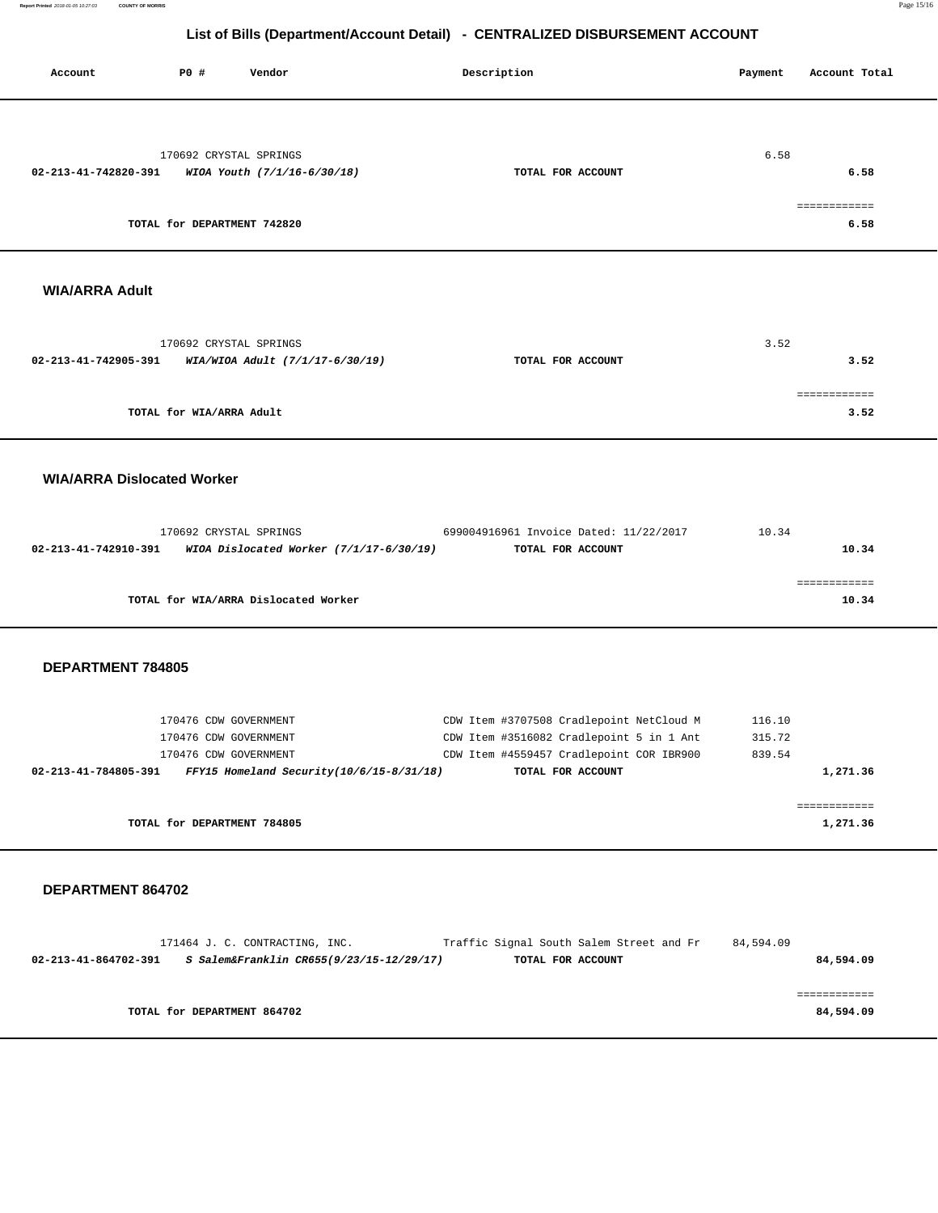**Report Printed** 2018-01-05 10:27:03 **COUNTY OF MORRIS** Page 15/16

## **List of Bills (Department/Account Detail) - CENTRALIZED DISBURSEMENT ACCOUNT**

| Account                           | <b>PO #</b>                                    | Vendor                               | Description                                                                                               | Payment          | Account Total            |
|-----------------------------------|------------------------------------------------|--------------------------------------|-----------------------------------------------------------------------------------------------------------|------------------|--------------------------|
| 02-213-41-742820-391              | 170692 CRYSTAL SPRINGS                         | WIOA Youth (7/1/16-6/30/18)          | TOTAL FOR ACCOUNT                                                                                         | 6.58             | 6.58<br>============     |
|                                   | TOTAL for DEPARTMENT 742820                    |                                      |                                                                                                           |                  | 6.58                     |
| <b>WIA/ARRA Adult</b>             |                                                |                                      |                                                                                                           |                  |                          |
|                                   | 170692 CRYSTAL SPRINGS                         |                                      |                                                                                                           | 3.52             |                          |
| 02-213-41-742905-391              |                                                | WIA/WIOA Adult (7/1/17-6/30/19)      | TOTAL FOR ACCOUNT                                                                                         |                  | 3.52                     |
|                                   | TOTAL for WIA/ARRA Adult                       |                                      |                                                                                                           |                  | ============<br>3.52     |
| <b>WIA/ARRA Dislocated Worker</b> |                                                |                                      |                                                                                                           |                  |                          |
| 02-213-41-742910-391              | 170692 CRYSTAL SPRINGS                         |                                      | 699004916961 Invoice Dated: 11/22/2017<br>WIOA Dislocated Worker (7/1/17-6/30/19)<br>TOTAL FOR ACCOUNT    | 10.34            | 10.34                    |
|                                   |                                                | TOTAL for WIA/ARRA Dislocated Worker |                                                                                                           |                  | ============<br>10.34    |
| DEPARTMENT 784805                 |                                                |                                      |                                                                                                           |                  |                          |
|                                   | 170476 CDW GOVERNMENT                          |                                      | CDW Item #3707508 Cradlepoint NetCloud M                                                                  | 116.10           |                          |
|                                   | 170476 CDW GOVERNMENT<br>170476 CDW GOVERNMENT |                                      | CDW Item #3516082 Cradlepoint 5 in 1 Ant<br>CDW Item #4559457 Cradlepoint COR IBR900                      | 315.72<br>839.54 |                          |
|                                   |                                                |                                      | 02-213-41-784805-391 FFY15 Homeland Security(10/6/15-8/31/18)<br>TOTAL FOR ACCOUNT                        |                  | 1,271.36                 |
|                                   | TOTAL for DEPARTMENT 784805                    |                                      |                                                                                                           |                  | ============<br>1,271.36 |
| DEPARTMENT 864702                 |                                                |                                      |                                                                                                           |                  |                          |
| 02-213-41-864702-391              |                                                | 171464 J. C. CONTRACTING, INC.       | Traffic Signal South Salem Street and Fr<br>S Salem&Franklin CR655(9/23/15-12/29/17)<br>TOTAL FOR ACCOUNT | 84,594.09        | 84,594.09                |
|                                   |                                                |                                      |                                                                                                           |                  | ============             |

**TOTAL for DEPARTMENT 864702 84,594.09**